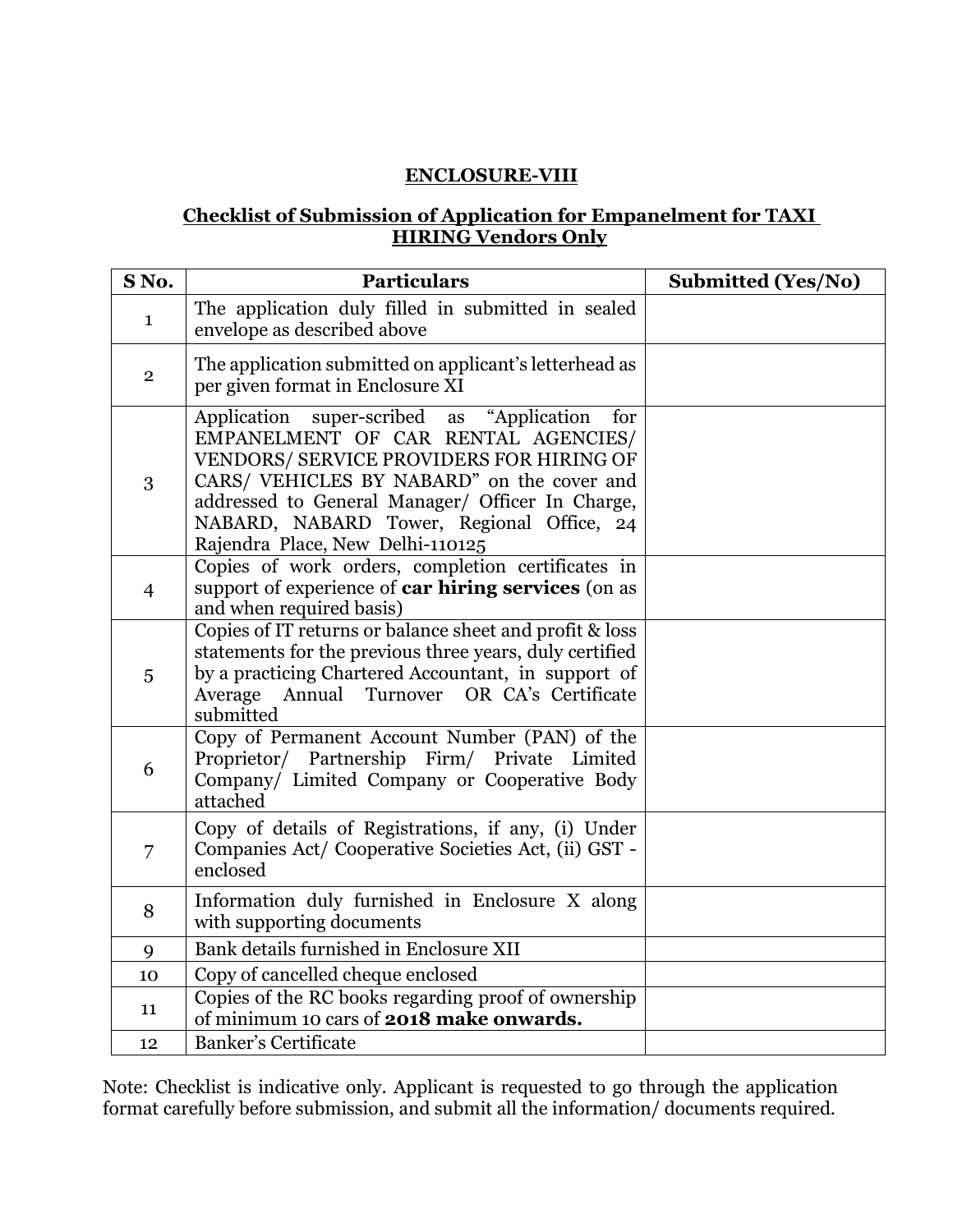### **ENCLOSURE-VIII**

### **Checklist of Submission of Application for Empanelment for TAXI HIRING Vendors Only**

| SNo.           | <b>Particulars</b>                                                                                                                                                                                                                                                                                                        | <b>Submitted (Yes/No)</b> |
|----------------|---------------------------------------------------------------------------------------------------------------------------------------------------------------------------------------------------------------------------------------------------------------------------------------------------------------------------|---------------------------|
| $\mathbf 1$    | The application duly filled in submitted in sealed<br>envelope as described above                                                                                                                                                                                                                                         |                           |
| $\overline{2}$ | The application submitted on applicant's letterhead as<br>per given format in Enclosure XI                                                                                                                                                                                                                                |                           |
| 3              | "Application<br>Application super-scribed as<br>for<br>EMPANELMENT OF CAR RENTAL AGENCIES/<br>VENDORS/ SERVICE PROVIDERS FOR HIRING OF<br>CARS/ VEHICLES BY NABARD" on the cover and<br>addressed to General Manager/ Officer In Charge,<br>NABARD, NABARD Tower, Regional Office, 24<br>Rajendra Place, New Delhi-110125 |                           |
| $\overline{4}$ | Copies of work orders, completion certificates in<br>support of experience of car hiring services (on as<br>and when required basis)                                                                                                                                                                                      |                           |
| 5              | Copies of IT returns or balance sheet and profit & loss<br>statements for the previous three years, duly certified<br>by a practicing Chartered Accountant, in support of<br>Annual Turnover OR CA's Certificate<br>Average<br>submitted                                                                                  |                           |
| 6              | Copy of Permanent Account Number (PAN) of the<br>Proprietor/ Partnership Firm/ Private Limited<br>Company/ Limited Company or Cooperative Body<br>attached                                                                                                                                                                |                           |
| 7              | Copy of details of Registrations, if any, (i) Under<br>Companies Act/Cooperative Societies Act, (ii) GST -<br>enclosed                                                                                                                                                                                                    |                           |
| 8              | Information duly furnished in Enclosure X along<br>with supporting documents                                                                                                                                                                                                                                              |                           |
| 9              | Bank details furnished in Enclosure XII                                                                                                                                                                                                                                                                                   |                           |
| 10             | Copy of cancelled cheque enclosed                                                                                                                                                                                                                                                                                         |                           |
| 11             | Copies of the RC books regarding proof of ownership<br>of minimum 10 cars of 2018 make onwards.                                                                                                                                                                                                                           |                           |
| 12             | <b>Banker's Certificate</b>                                                                                                                                                                                                                                                                                               |                           |

Note: Checklist is indicative only. Applicant is requested to go through the application format carefully before submission, and submit all the information/ documents required.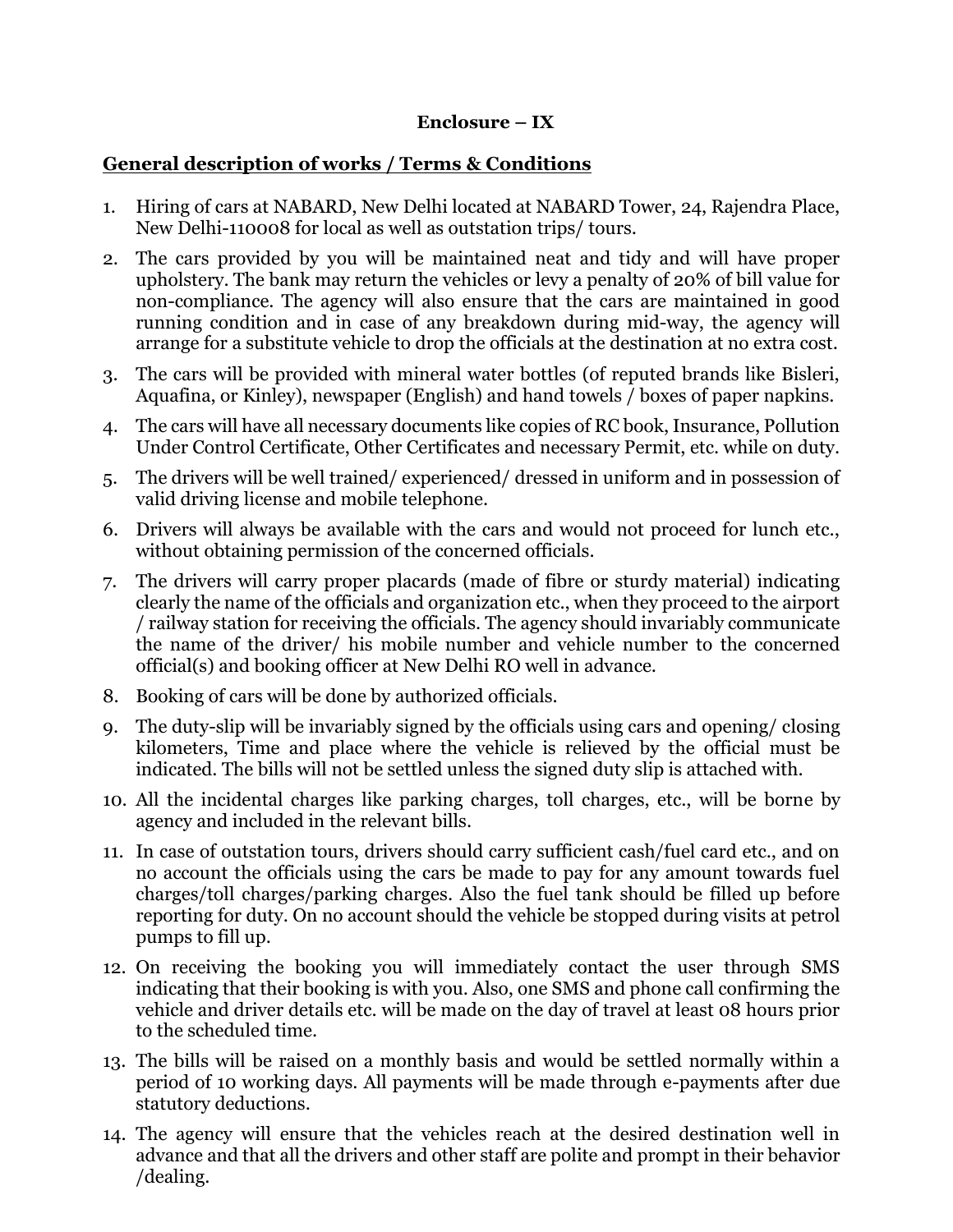#### **Enclosure – IX**

### **General description of works / Terms & Conditions**

- 1. Hiring of cars at NABARD, New Delhi located at NABARD Tower, 24, Rajendra Place, New Delhi-110008 for local as well as outstation trips/ tours.
- 2. The cars provided by you will be maintained neat and tidy and will have proper upholstery. The bank may return the vehicles or levy a penalty of 20% of bill value for non-compliance. The agency will also ensure that the cars are maintained in good running condition and in case of any breakdown during mid-way, the agency will arrange for a substitute vehicle to drop the officials at the destination at no extra cost.
- 3. The cars will be provided with mineral water bottles (of reputed brands like Bisleri, Aquafina, or Kinley), newspaper (English) and hand towels / boxes of paper napkins.
- 4. The cars will have all necessary documents like copies of RC book, Insurance, Pollution Under Control Certificate, Other Certificates and necessary Permit, etc. while on duty.
- 5. The drivers will be well trained/ experienced/ dressed in uniform and in possession of valid driving license and mobile telephone.
- 6. Drivers will always be available with the cars and would not proceed for lunch etc., without obtaining permission of the concerned officials.
- 7. The drivers will carry proper placards (made of fibre or sturdy material) indicating clearly the name of the officials and organization etc., when they proceed to the airport / railway station for receiving the officials. The agency should invariably communicate the name of the driver/ his mobile number and vehicle number to the concerned official(s) and booking officer at New Delhi RO well in advance.
- 8. Booking of cars will be done by authorized officials.
- 9. The duty-slip will be invariably signed by the officials using cars and opening/ closing kilometers, Time and place where the vehicle is relieved by the official must be indicated. The bills will not be settled unless the signed duty slip is attached with.
- 10. All the incidental charges like parking charges, toll charges, etc., will be borne by agency and included in the relevant bills.
- 11. In case of outstation tours, drivers should carry sufficient cash/fuel card etc., and on no account the officials using the cars be made to pay for any amount towards fuel charges/toll charges/parking charges. Also the fuel tank should be filled up before reporting for duty. On no account should the vehicle be stopped during visits at petrol pumps to fill up.
- 12. On receiving the booking you will immediately contact the user through SMS indicating that their booking is with you. Also, one SMS and phone call confirming the vehicle and driver details etc. will be made on the day of travel at least 08 hours prior to the scheduled time.
- 13. The bills will be raised on a monthly basis and would be settled normally within a period of 10 working days. All payments will be made through e-payments after due statutory deductions.
- 14. The agency will ensure that the vehicles reach at the desired destination well in advance and that all the drivers and other staff are polite and prompt in their behavior /dealing.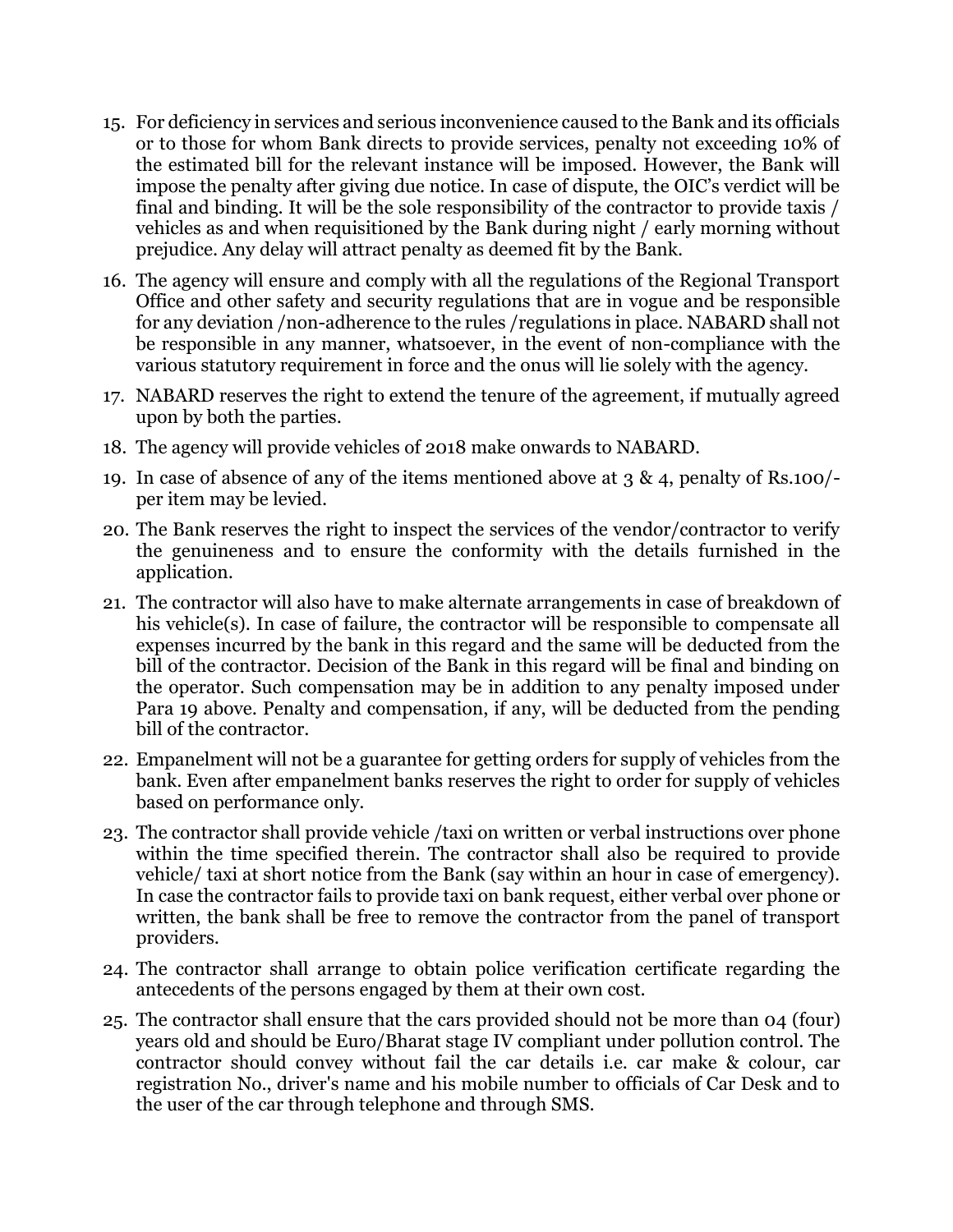- 15. For deficiency in services and serious inconvenience caused to the Bank and its officials or to those for whom Bank directs to provide services, penalty not exceeding 10% of the estimated bill for the relevant instance will be imposed. However, the Bank will impose the penalty after giving due notice. In case of dispute, the OIC's verdict will be final and binding. It will be the sole responsibility of the contractor to provide taxis / vehicles as and when requisitioned by the Bank during night / early morning without prejudice. Any delay will attract penalty as deemed fit by the Bank.
- 16. The agency will ensure and comply with all the regulations of the Regional Transport Office and other safety and security regulations that are in vogue and be responsible for any deviation /non-adherence to the rules /regulations in place. NABARD shall not be responsible in any manner, whatsoever, in the event of non-compliance with the various statutory requirement in force and the onus will lie solely with the agency.
- 17. NABARD reserves the right to extend the tenure of the agreement, if mutually agreed upon by both the parties.
- 18. The agency will provide vehicles of 2018 make onwards to NABARD.
- 19. In case of absence of any of the items mentioned above at 3 & 4, penalty of Rs.100/ per item may be levied.
- 20. The Bank reserves the right to inspect the services of the vendor/contractor to verify the genuineness and to ensure the conformity with the details furnished in the application.
- 21. The contractor will also have to make alternate arrangements in case of breakdown of his vehicle(s). In case of failure, the contractor will be responsible to compensate all expenses incurred by the bank in this regard and the same will be deducted from the bill of the contractor. Decision of the Bank in this regard will be final and binding on the operator. Such compensation may be in addition to any penalty imposed under Para 19 above. Penalty and compensation, if any, will be deducted from the pending bill of the contractor.
- 22. Empanelment will not be a guarantee for getting orders for supply of vehicles from the bank. Even after empanelment banks reserves the right to order for supply of vehicles based on performance only.
- 23. The contractor shall provide vehicle /taxi on written or verbal instructions over phone within the time specified therein. The contractor shall also be required to provide vehicle/ taxi at short notice from the Bank (say within an hour in case of emergency). In case the contractor fails to provide taxi on bank request, either verbal over phone or written, the bank shall be free to remove the contractor from the panel of transport providers.
- 24. The contractor shall arrange to obtain police verification certificate regarding the antecedents of the persons engaged by them at their own cost.
- 25. The contractor shall ensure that the cars provided should not be more than 04 (four) years old and should be Euro/Bharat stage IV compliant under pollution control. The contractor should convey without fail the car details i.e. car make & colour, car registration No., driver's name and his mobile number to officials of Car Desk and to the user of the car through telephone and through SMS.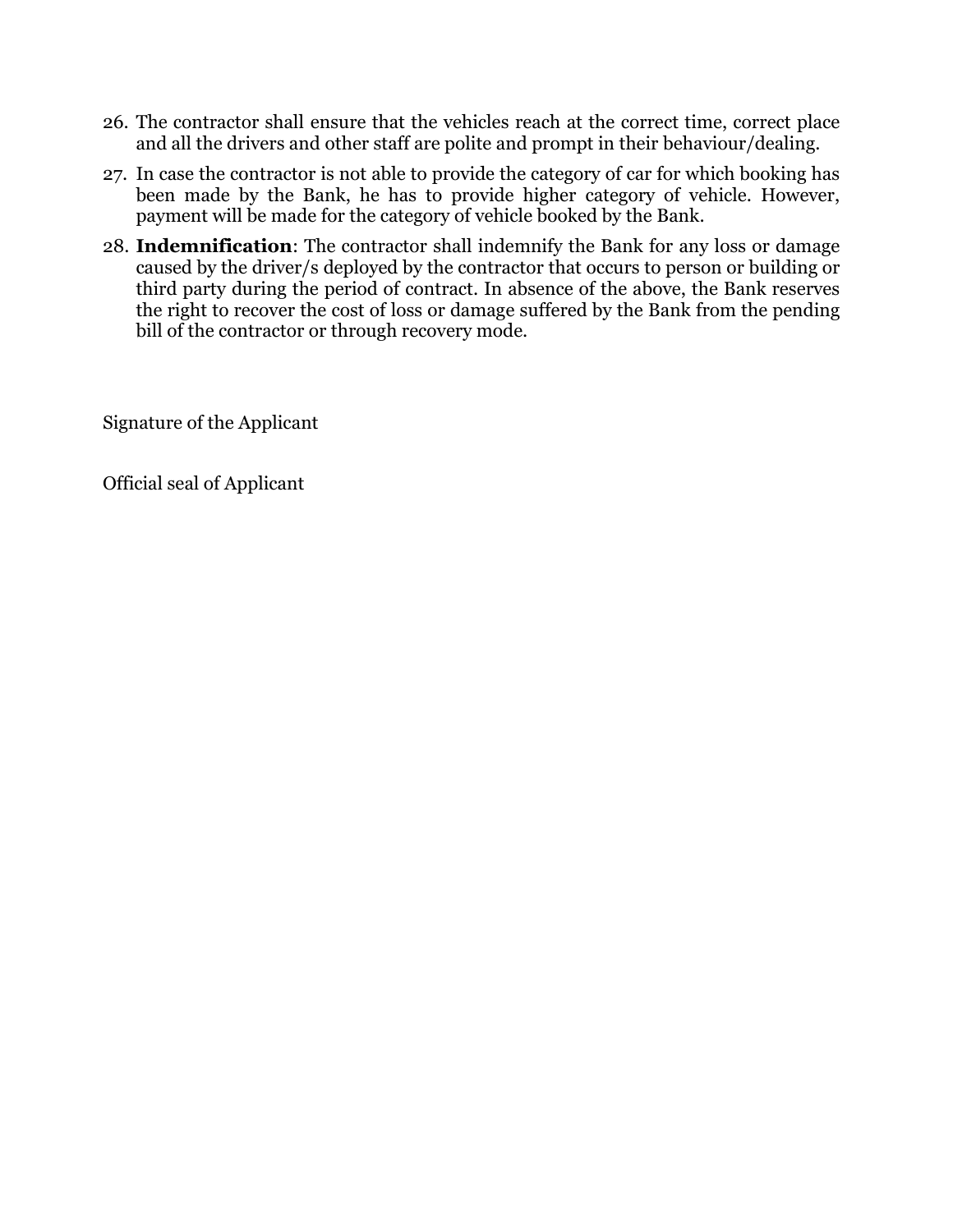- 26. The contractor shall ensure that the vehicles reach at the correct time, correct place and all the drivers and other staff are polite and prompt in their behaviour/dealing.
- 27. In case the contractor is not able to provide the category of car for which booking has been made by the Bank, he has to provide higher category of vehicle. However, payment will be made for the category of vehicle booked by the Bank.
- 28. **Indemnification**: The contractor shall indemnify the Bank for any loss or damage caused by the driver/s deployed by the contractor that occurs to person or building or third party during the period of contract. In absence of the above, the Bank reserves the right to recover the cost of loss or damage suffered by the Bank from the pending bill of the contractor or through recovery mode.

Signature of the Applicant

Official seal of Applicant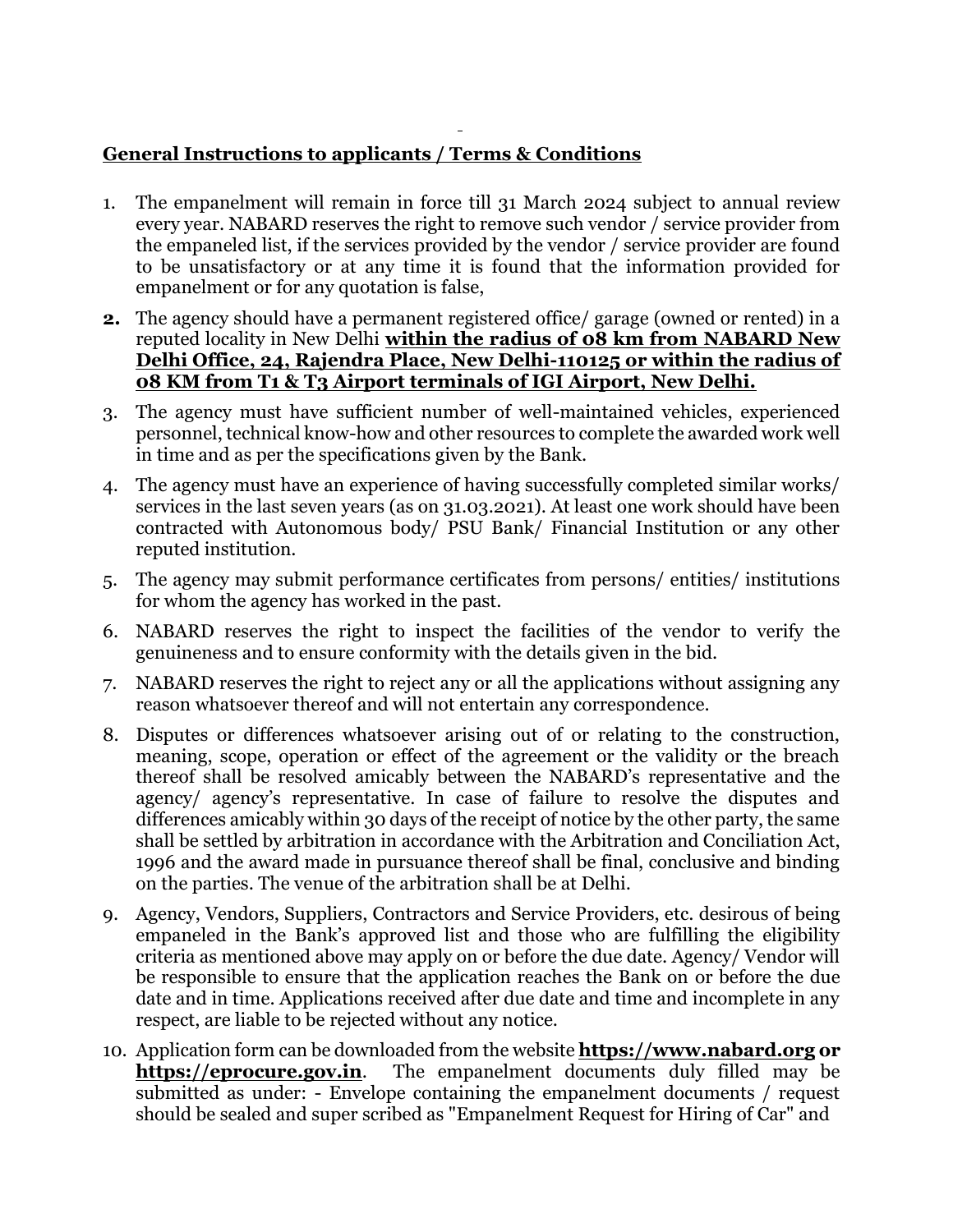# **General Instructions to applicants / Terms & Conditions**

- 1. The empanelment will remain in force till 31 March 2024 subject to annual review every year. NABARD reserves the right to remove such vendor / service provider from the empaneled list, if the services provided by the vendor / service provider are found to be unsatisfactory or at any time it is found that the information provided for empanelment or for any quotation is false,
- **2.** The agency should have a permanent registered office/ garage (owned or rented) in a reputed locality in New Delhi **within the radius of 08 km from NABARD New Delhi Office, 24, Rajendra Place, New Delhi-110125 or within the radius of 08 KM from T1 & T3 Airport terminals of IGI Airport, New Delhi.**
- 3. The agency must have sufficient number of well-maintained vehicles, experienced personnel, technical know-how and other resources to complete the awarded work well in time and as per the specifications given by the Bank.
- 4. The agency must have an experience of having successfully completed similar works/ services in the last seven years (as on 31.03.2021). At least one work should have been contracted with Autonomous body/ PSU Bank/ Financial Institution or any other reputed institution.
- 5. The agency may submit performance certificates from persons/ entities/ institutions for whom the agency has worked in the past.
- 6. NABARD reserves the right to inspect the facilities of the vendor to verify the genuineness and to ensure conformity with the details given in the bid.
- 7. NABARD reserves the right to reject any or all the applications without assigning any reason whatsoever thereof and will not entertain any correspondence.
- 8. Disputes or differences whatsoever arising out of or relating to the construction, meaning, scope, operation or effect of the agreement or the validity or the breach thereof shall be resolved amicably between the NABARD's representative and the agency/ agency's representative. In case of failure to resolve the disputes and differences amicably within 30 days of the receipt of notice by the other party, the same shall be settled by arbitration in accordance with the Arbitration and Conciliation Act, 1996 and the award made in pursuance thereof shall be final, conclusive and binding on the parties. The venue of the arbitration shall be at Delhi.
- 9. Agency, Vendors, Suppliers, Contractors and Service Providers, etc. desirous of being empaneled in the Bank's approved list and those who are fulfilling the eligibility criteria as mentioned above may apply on or before the due date. Agency/ Vendor will be responsible to ensure that the application reaches the Bank on or before the due date and in time. Applications received after due date and time and incomplete in any respect, are liable to be rejected without any notice.
- 10. Application form can be downloaded from the website **https://www.nabard.org or [https://eprocure.gov.in](https://eprocure.gov.in/)**. The empanelment documents duly filled may be submitted as under: - Envelope containing the empanelment documents / request should be sealed and super scribed as "Empanelment Request for Hiring of Car" and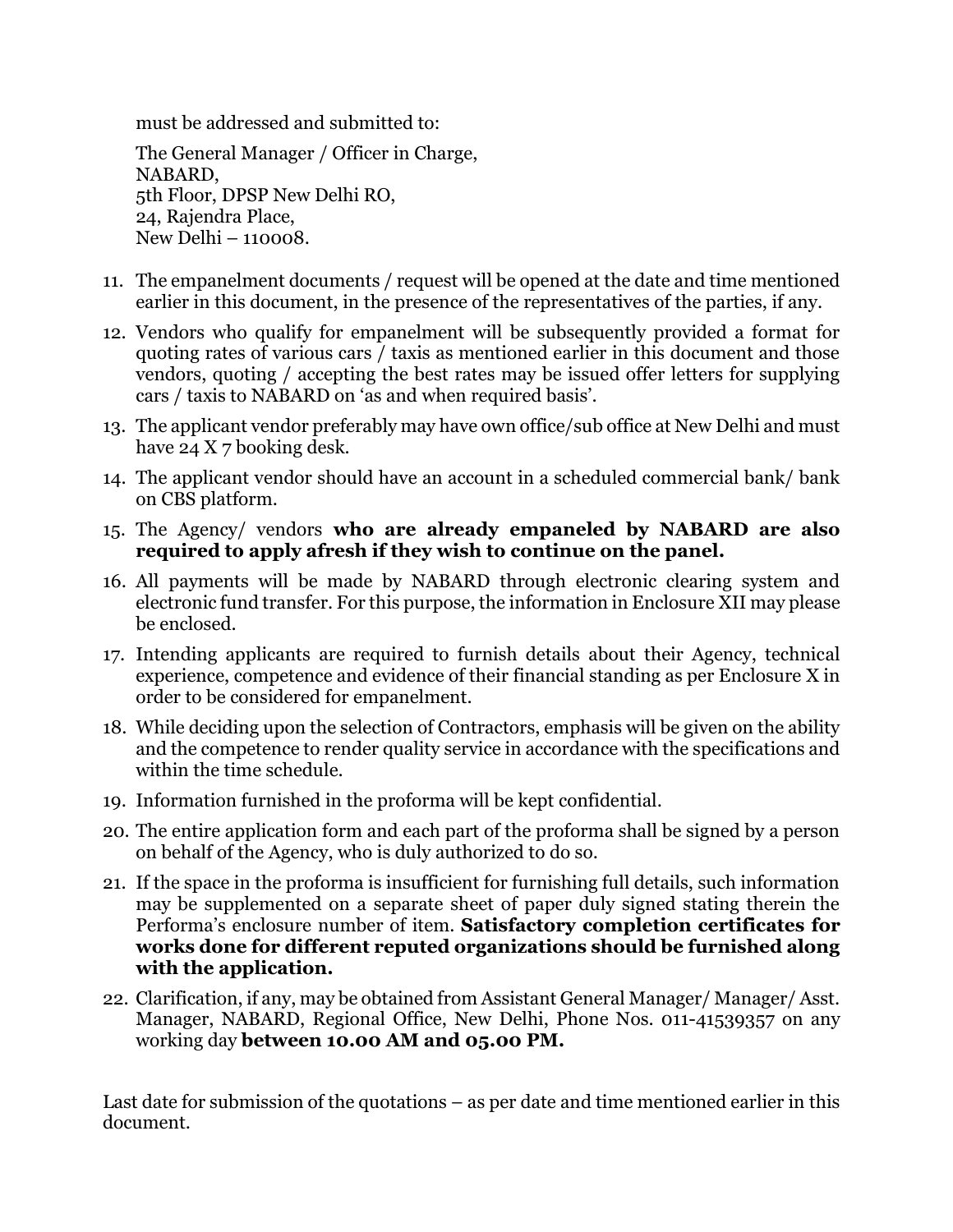must be addressed and submitted to:

The General Manager / Officer in Charge, NABARD, 5th Floor, DPSP New Delhi RO, 24, Rajendra Place, New Delhi – 110008.

- 11. The empanelment documents / request will be opened at the date and time mentioned earlier in this document, in the presence of the representatives of the parties, if any.
- 12. Vendors who qualify for empanelment will be subsequently provided a format for quoting rates of various cars / taxis as mentioned earlier in this document and those vendors, quoting / accepting the best rates may be issued offer letters for supplying cars / taxis to NABARD on 'as and when required basis'.
- 13. The applicant vendor preferably may have own office/sub office at New Delhi and must have 24 X 7 booking desk.
- 14. The applicant vendor should have an account in a scheduled commercial bank/ bank on CBS platform.
- 15. The Agency/ vendors **who are already empaneled by NABARD are also required to apply afresh if they wish to continue on the panel.**
- 16. All payments will be made by NABARD through electronic clearing system and electronic fund transfer. For this purpose, the information in Enclosure XII may please be enclosed.
- 17. Intending applicants are required to furnish details about their Agency, technical experience, competence and evidence of their financial standing as per Enclosure X in order to be considered for empanelment.
- 18. While deciding upon the selection of Contractors, emphasis will be given on the ability and the competence to render quality service in accordance with the specifications and within the time schedule.
- 19. Information furnished in the proforma will be kept confidential.
- 20. The entire application form and each part of the proforma shall be signed by a person on behalf of the Agency, who is duly authorized to do so.
- 21. If the space in the proforma is insufficient for furnishing full details, such information may be supplemented on a separate sheet of paper duly signed stating therein the Performa's enclosure number of item. **Satisfactory completion certificates for works done for different reputed organizations should be furnished along with the application.**
- 22. Clarification, if any, may be obtained from Assistant General Manager/ Manager/ Asst. Manager, NABARD, Regional Office, New Delhi, Phone Nos. 011-41539357 on any working day **between 10.00 AM and 05.00 PM.**

Last date for submission of the quotations – as per date and time mentioned earlier in this document.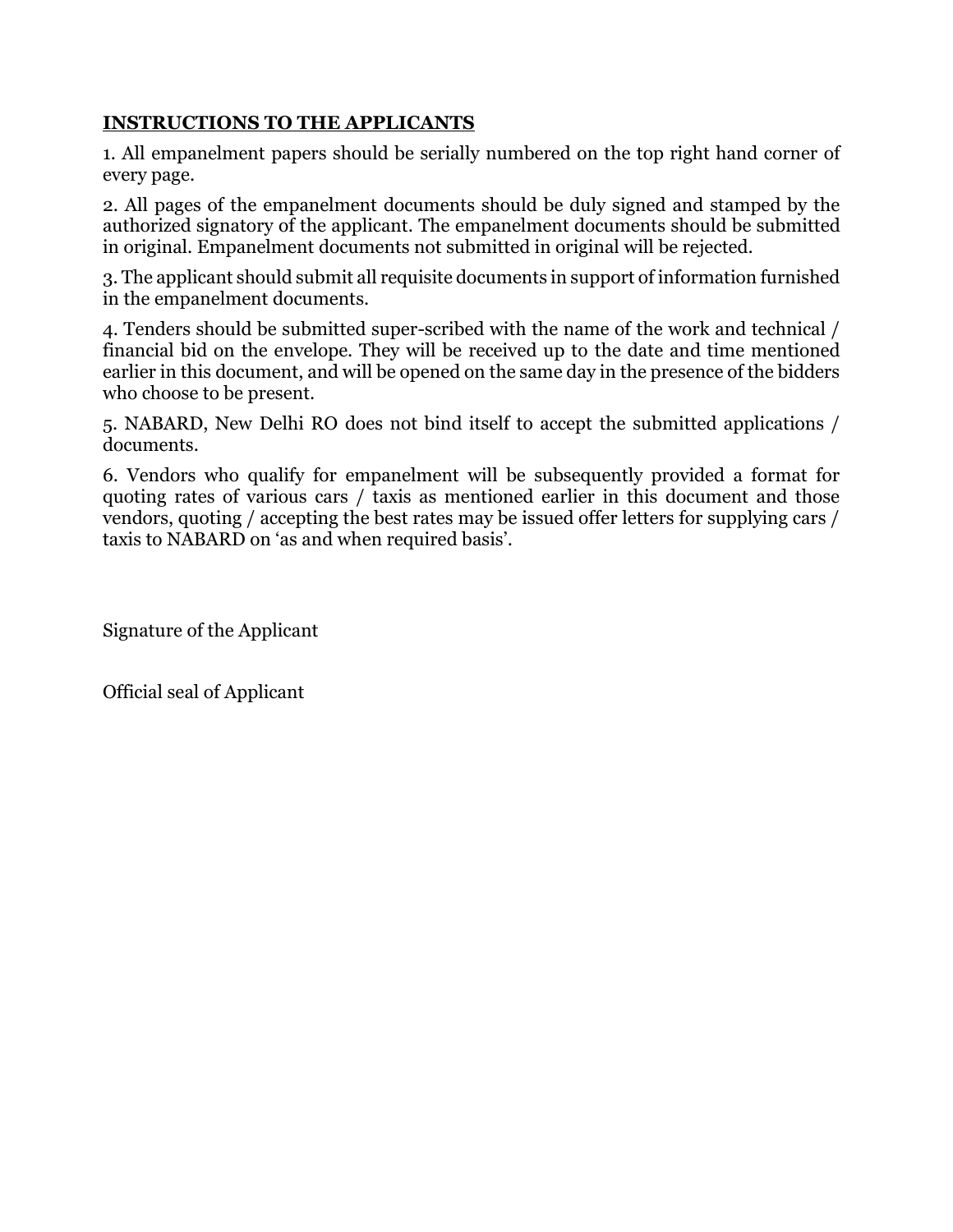### **INSTRUCTIONS TO THE APPLICANTS**

1. All empanelment papers should be serially numbered on the top right hand corner of every page.

2. All pages of the empanelment documents should be duly signed and stamped by the authorized signatory of the applicant. The empanelment documents should be submitted in original. Empanelment documents not submitted in original will be rejected.

3. The applicant should submit all requisite documents in support of information furnished in the empanelment documents.

4. Tenders should be submitted super-scribed with the name of the work and technical / financial bid on the envelope. They will be received up to the date and time mentioned earlier in this document, and will be opened on the same day in the presence of the bidders who choose to be present.

5. NABARD, New Delhi RO does not bind itself to accept the submitted applications / documents.

6. Vendors who qualify for empanelment will be subsequently provided a format for quoting rates of various cars / taxis as mentioned earlier in this document and those vendors, quoting / accepting the best rates may be issued offer letters for supplying cars / taxis to NABARD on 'as and when required basis'.

Signature of the Applicant

Official seal of Applicant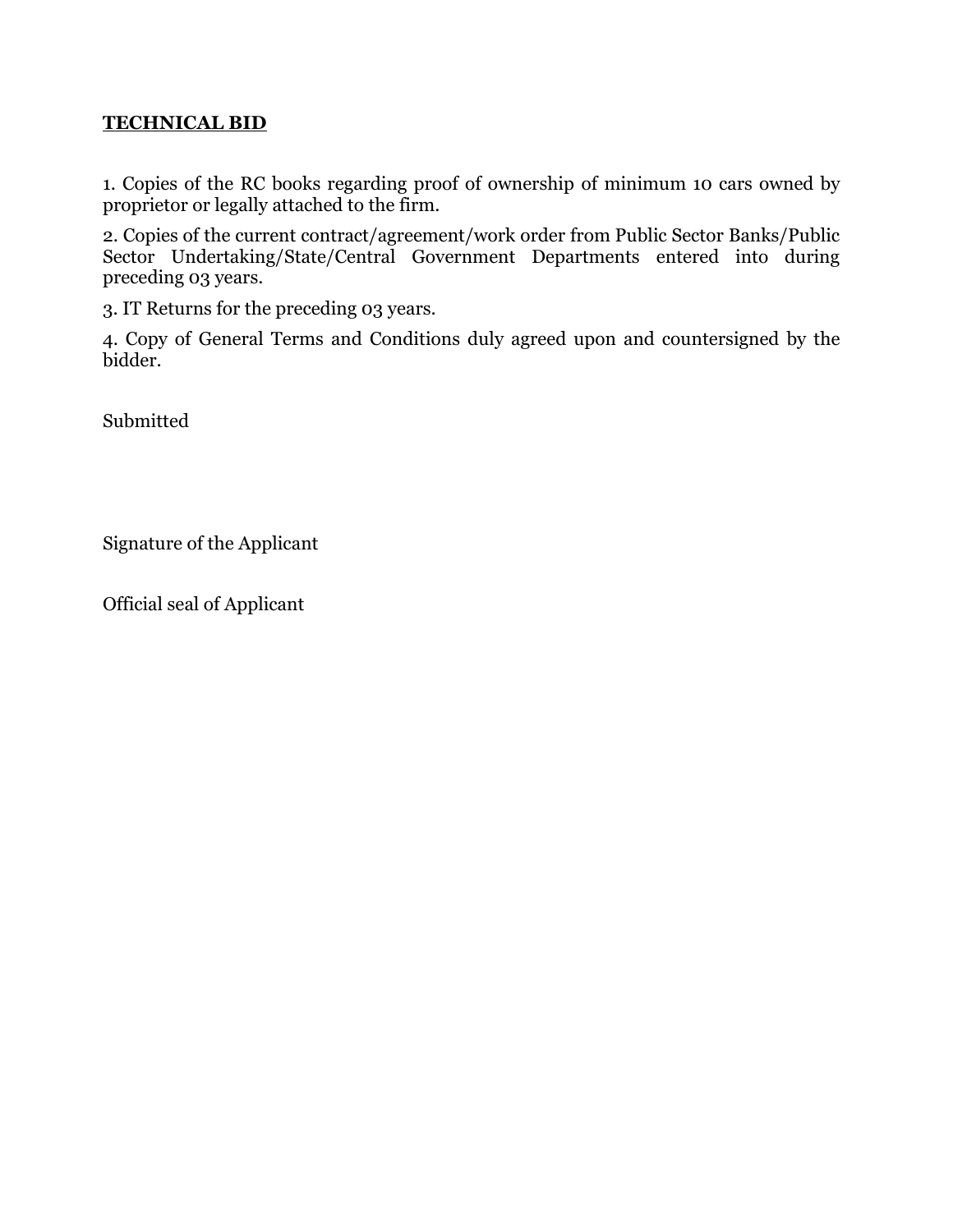### **TECHNICAL BID**

1. Copies of the RC books regarding proof of ownership of minimum 10 cars owned by proprietor or legally attached to the firm.

2. Copies of the current contract/agreement/work order from Public Sector Banks/Public Sector Undertaking/State/Central Government Departments entered into during preceding 03 years.

3. IT Returns for the preceding 03 years.

4. Copy of General Terms and Conditions duly agreed upon and countersigned by the bidder.

Submitted

Signature of the Applicant

Official seal of Applicant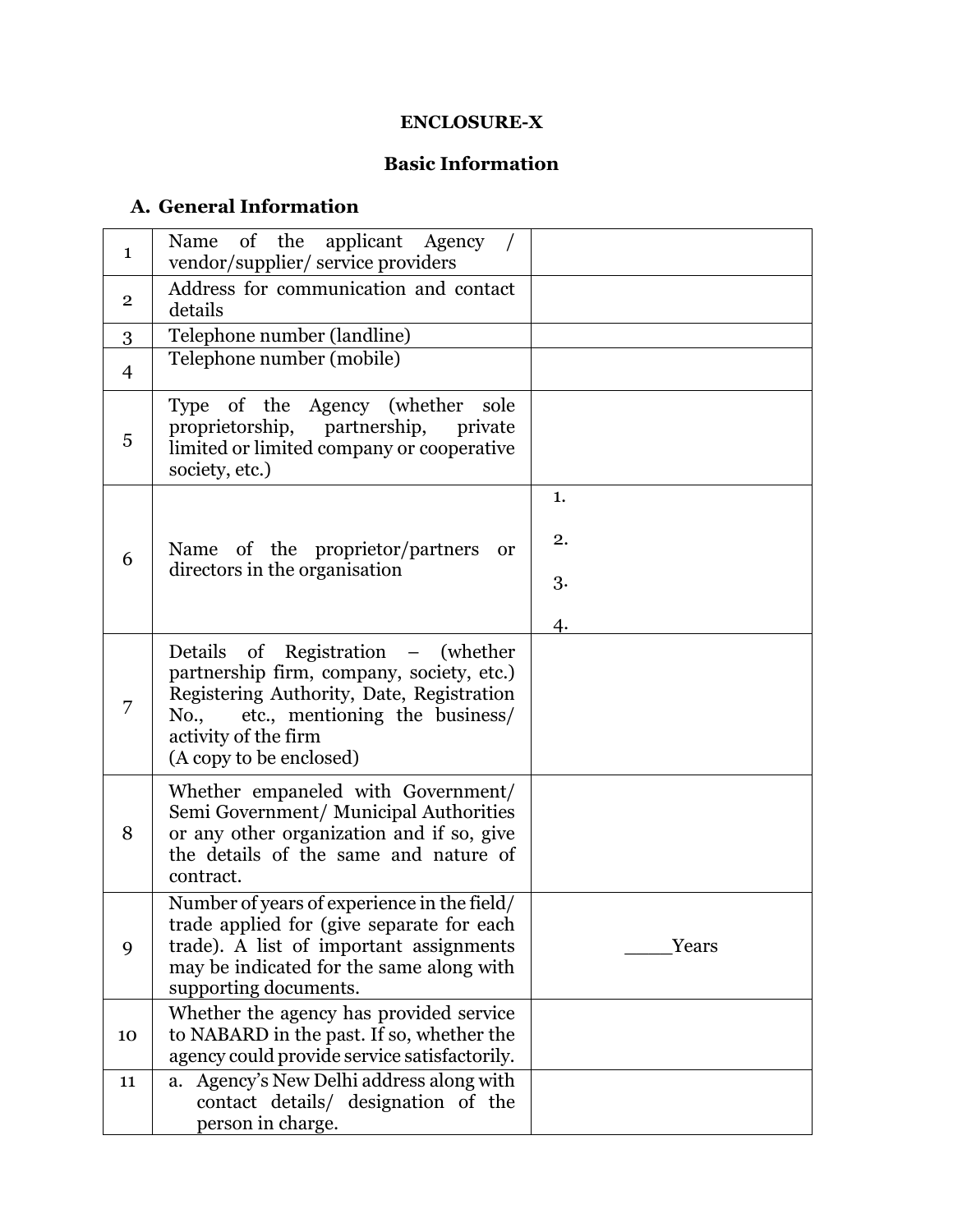### **ENCLOSURE-X**

# **Basic Information**

# **A. General Information**

| $\mathbf{1}$   | of the<br>applicant Agency<br>Name<br>vendor/supplier/ service providers                                                                                                                                                  |       |
|----------------|---------------------------------------------------------------------------------------------------------------------------------------------------------------------------------------------------------------------------|-------|
| $\overline{2}$ | Address for communication and contact<br>details                                                                                                                                                                          |       |
| 3              | Telephone number (landline)                                                                                                                                                                                               |       |
| $\overline{4}$ | Telephone number (mobile)                                                                                                                                                                                                 |       |
| 5              | Type of the Agency (whether sole<br>proprietorship, partnership,<br>private<br>limited or limited company or cooperative<br>society, etc.)                                                                                |       |
|                |                                                                                                                                                                                                                           | 1.    |
|                | Name of the proprietor/partners<br><sub>or</sub>                                                                                                                                                                          | 2.    |
| 6              | directors in the organisation                                                                                                                                                                                             | 3.    |
|                |                                                                                                                                                                                                                           | 4.    |
| 7              | Details of Registration – (whether<br>partnership firm, company, society, etc.)<br>Registering Authority, Date, Registration<br>etc., mentioning the business/<br>No.,<br>activity of the firm<br>(A copy to be enclosed) |       |
| 8              | Whether empaneled with Government/<br>Semi Government/ Municipal Authorities<br>or any other organization and if so, give<br>the details of the same and nature of<br>contract.                                           |       |
| 9              | Number of years of experience in the field/<br>trade applied for (give separate for each<br>trade). A list of important assignments<br>may be indicated for the same along with<br>supporting documents.                  | Years |
| 10             | Whether the agency has provided service<br>to NABARD in the past. If so, whether the<br>agency could provide service satisfactorily.                                                                                      |       |
| 11             | Agency's New Delhi address along with<br>a.<br>contact details/ designation of the<br>person in charge.                                                                                                                   |       |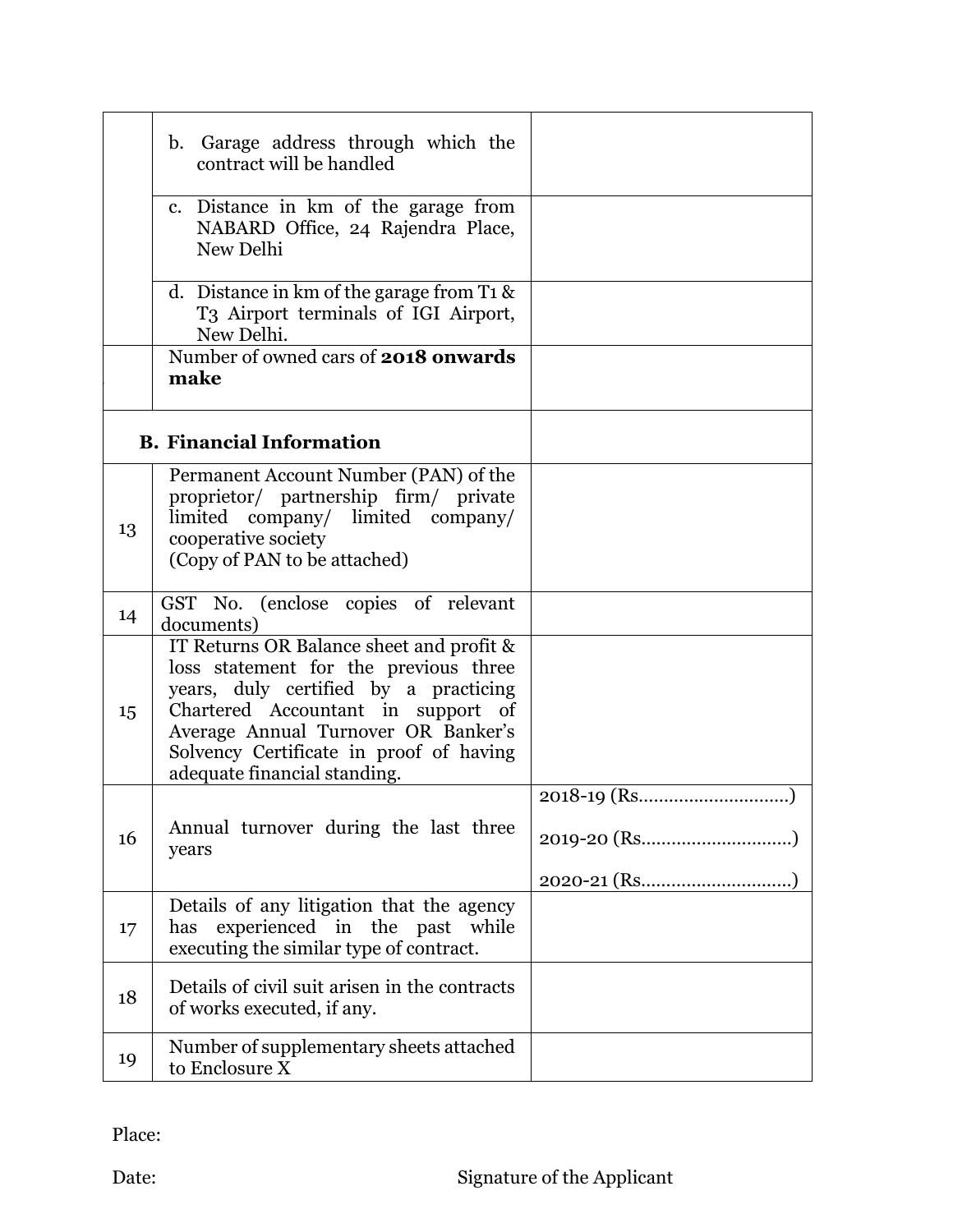|    | b. Garage address through which the<br>contract will be handled                                                                                                                                                                                                                    |  |
|----|------------------------------------------------------------------------------------------------------------------------------------------------------------------------------------------------------------------------------------------------------------------------------------|--|
|    | c. Distance in km of the garage from<br>NABARD Office, 24 Rajendra Place,<br>New Delhi                                                                                                                                                                                             |  |
|    | d. Distance in km of the garage from $T_1$ &<br>T3 Airport terminals of IGI Airport,<br>New Delhi.                                                                                                                                                                                 |  |
|    | Number of owned cars of <b>2018 onwards</b><br>make                                                                                                                                                                                                                                |  |
|    | <b>B.</b> Financial Information                                                                                                                                                                                                                                                    |  |
| 13 | Permanent Account Number (PAN) of the<br>proprietor/ partnership firm/ private<br>limited company/ limited company/<br>cooperative society<br>(Copy of PAN to be attached)                                                                                                         |  |
| 14 | GST No. (enclose copies of relevant<br>documents)                                                                                                                                                                                                                                  |  |
| 15 | IT Returns OR Balance sheet and profit &<br>loss statement for the previous three<br>years, duly certified by a practicing<br>Chartered Accountant in support of<br>Average Annual Turnover OR Banker's<br>Solvency Certificate in proof of having<br>adequate financial standing. |  |
| 16 | Annual turnover during the last three<br>years                                                                                                                                                                                                                                     |  |
| 17 | Details of any litigation that the agency<br>experienced in the past while<br>has<br>executing the similar type of contract.                                                                                                                                                       |  |
| 18 | Details of civil suit arisen in the contracts<br>of works executed, if any.                                                                                                                                                                                                        |  |
| 19 | Number of supplementary sheets attached<br>to Enclosure X                                                                                                                                                                                                                          |  |

Place: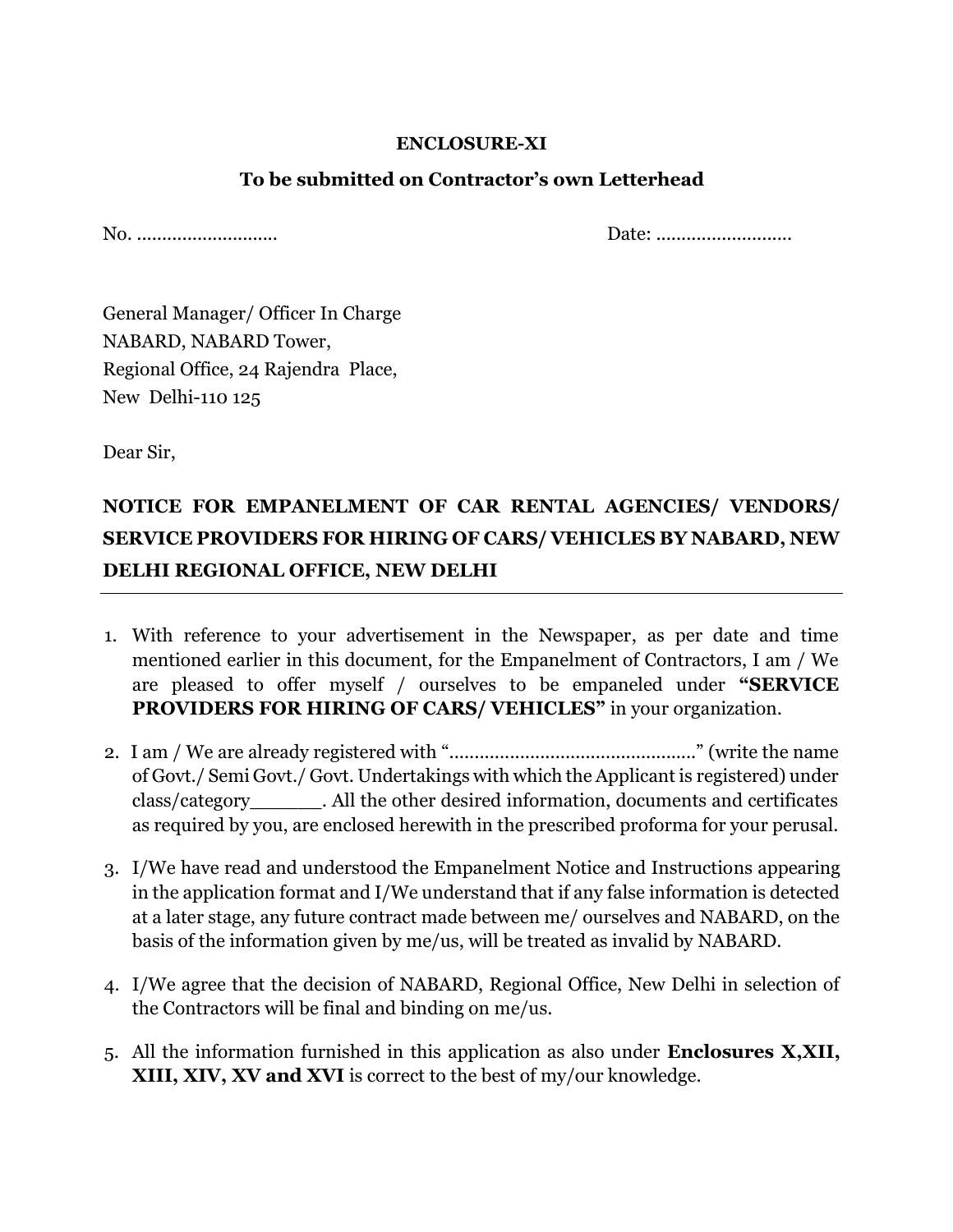#### **ENCLOSURE-XI**

### **To be submitted on Contractor's own Letterhead**

No. ............................ Date: ...........................

General Manager/ Officer In Charge NABARD, NABARD Tower, Regional Office, 24 Rajendra Place, New Delhi-110 125

Dear Sir,

# **NOTICE FOR EMPANELMENT OF CAR RENTAL AGENCIES/ VENDORS/ SERVICE PROVIDERS FOR HIRING OF CARS/ VEHICLES BY NABARD, NEW DELHI REGIONAL OFFICE, NEW DELHI**

- 1. With reference to your advertisement in the Newspaper, as per date and time mentioned earlier in this document, for the Empanelment of Contractors, I am / We are pleased to offer myself / ourselves to be empaneled under **"SERVICE PROVIDERS FOR HIRING OF CARS/ VEHICLES"** in your organization.
- 2. I am / We are already registered with "................................................." (write the name of Govt./ Semi Govt./ Govt. Undertakings with which the Applicant is registered) under class/category\_\_\_\_\_\_. All the other desired information, documents and certificates as required by you, are enclosed herewith in the prescribed proforma for your perusal.
- 3. I/We have read and understood the Empanelment Notice and Instructions appearing in the application format and I/We understand that if any false information is detected at a later stage, any future contract made between me/ ourselves and NABARD, on the basis of the information given by me/us, will be treated as invalid by NABARD.
- 4. I/We agree that the decision of NABARD, Regional Office, New Delhi in selection of the Contractors will be final and binding on me/us.
- 5. All the information furnished in this application as also under **Enclosures X,XII, XIII, XIV, XV and XVI** is correct to the best of my/our knowledge.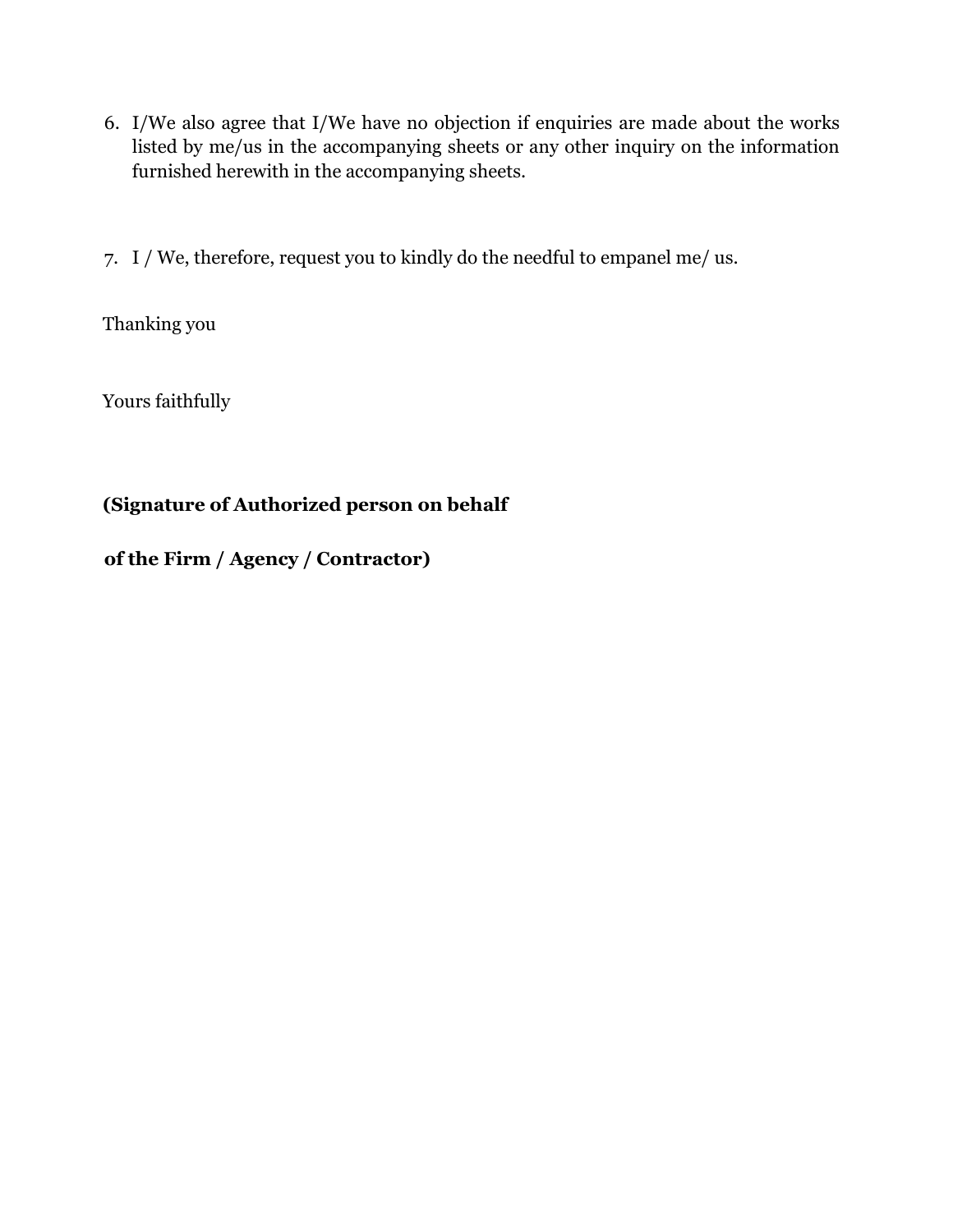- 6. I/We also agree that I/We have no objection if enquiries are made about the works listed by me/us in the accompanying sheets or any other inquiry on the information furnished herewith in the accompanying sheets.
- 7. I / We, therefore, request you to kindly do the needful to empanel me/ us.

Thanking you

Yours faithfully

# **(Signature of Authorized person on behalf**

**of the Firm / Agency / Contractor)**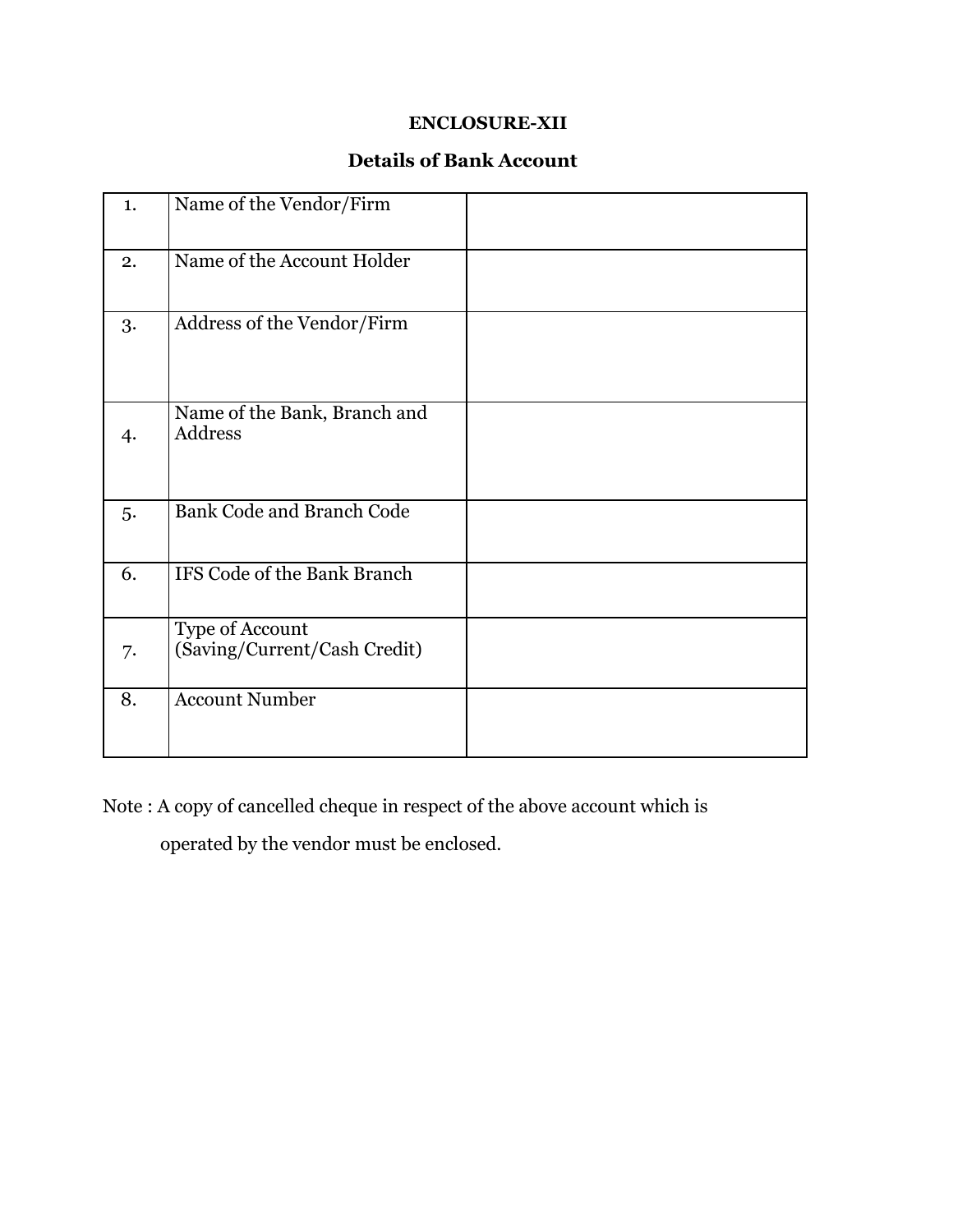### **ENCLOSURE-XII**

### **Details of Bank Account**

| 1. | Name of the Vendor/Firm                         |  |
|----|-------------------------------------------------|--|
| 2. | Name of the Account Holder                      |  |
| 3. | Address of the Vendor/Firm                      |  |
| 4. | Name of the Bank, Branch and<br>Address         |  |
| 5. | <b>Bank Code and Branch Code</b>                |  |
| 6. | IFS Code of the Bank Branch                     |  |
| 7. | Type of Account<br>(Saving/Current/Cash Credit) |  |
| 8. | <b>Account Number</b>                           |  |

Note : A copy of cancelled cheque in respect of the above account which is operated by the vendor must be enclosed.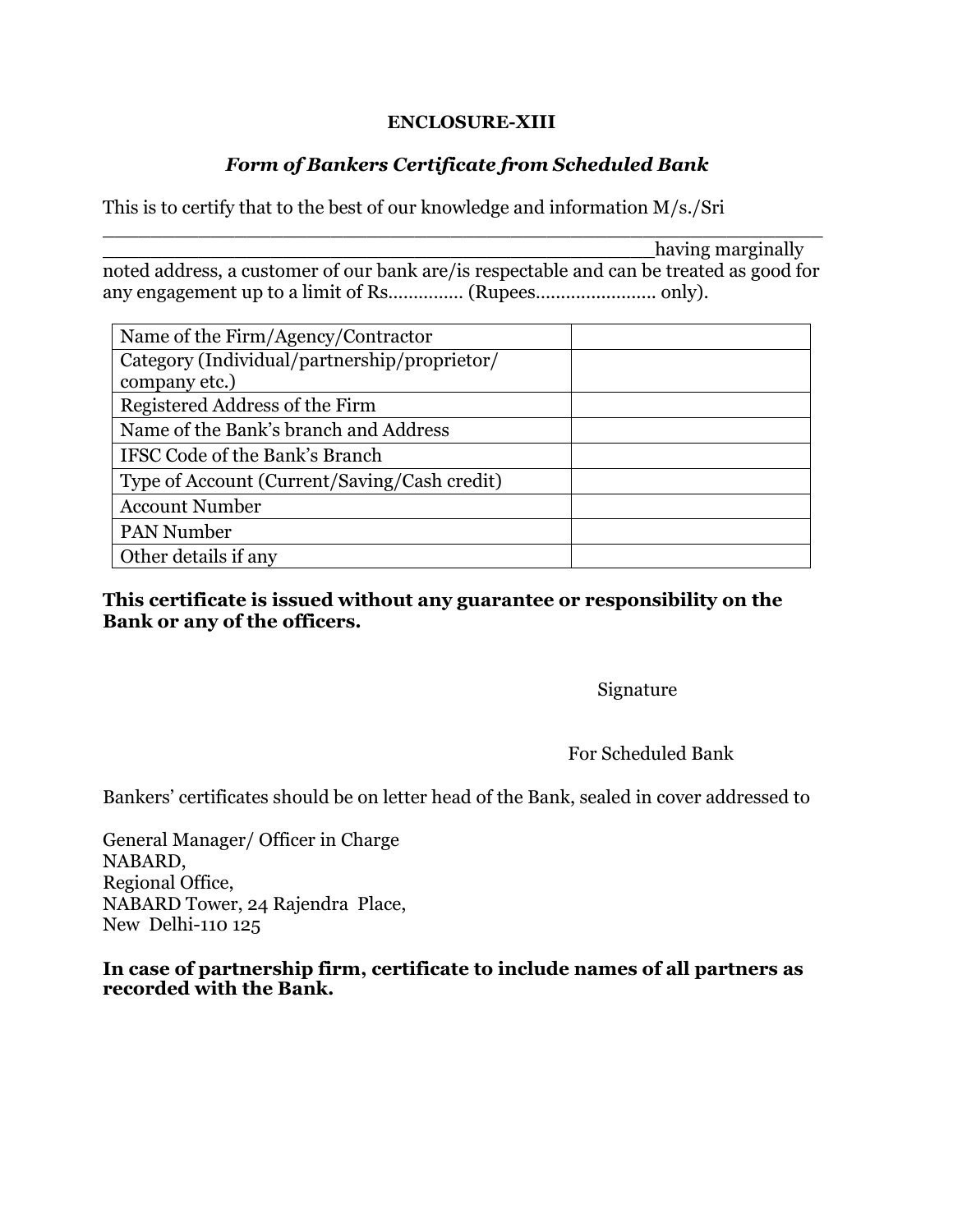#### **ENCLOSURE-XIII**

### *Form of Bankers Certificate from Scheduled Bank*

This is to certify that to the best of our knowledge and information M/s./Sri

having marginally noted address, a customer of our bank are/is respectable and can be treated as good for any engagement up to a limit of Rs…………… (Rupees…..................... only).

\_\_\_\_\_\_\_\_\_\_\_\_\_\_\_\_\_\_\_\_\_\_\_\_\_\_\_\_\_\_\_\_\_\_\_\_\_\_\_\_\_\_\_\_\_\_\_\_\_\_\_\_\_\_\_\_\_\_\_\_

| Name of the Firm/Agency/Contractor           |  |
|----------------------------------------------|--|
| Category (Individual/partnership/proprietor/ |  |
| company etc.)                                |  |
| Registered Address of the Firm               |  |
| Name of the Bank's branch and Address        |  |
| IFSC Code of the Bank's Branch               |  |
| Type of Account (Current/Saving/Cash credit) |  |
| <b>Account Number</b>                        |  |
| <b>PAN Number</b>                            |  |
| Other details if any                         |  |

**This certificate is issued without any guarantee or responsibility on the Bank or any of the officers.**

Signature

#### For Scheduled Bank

Bankers' certificates should be on letter head of the Bank, sealed in cover addressed to

General Manager/ Officer in Charge NABARD, Regional Office, NABARD Tower, 24 Rajendra Place, New Delhi-110 125

**In case of partnership firm, certificate to include names of all partners as recorded with the Bank.**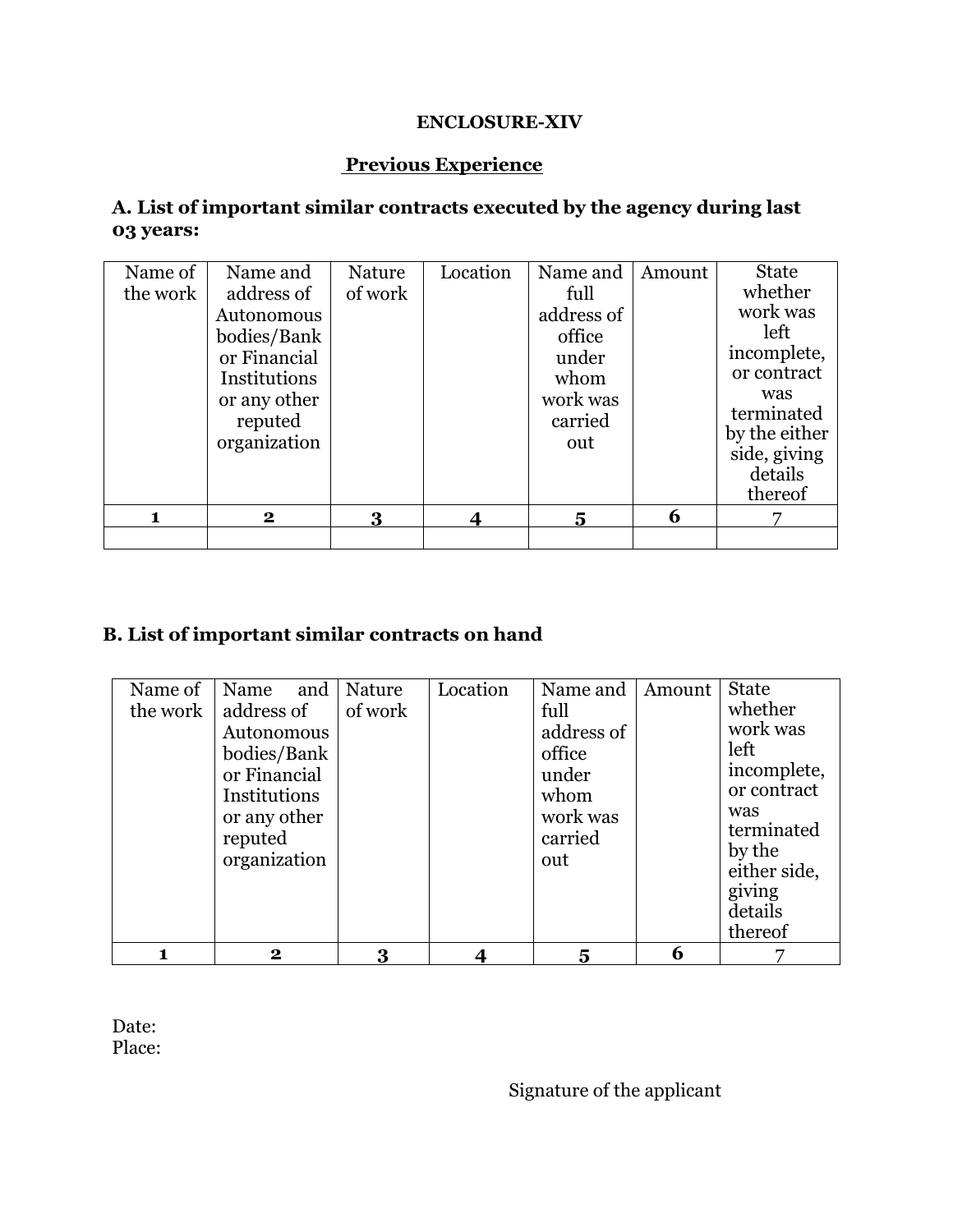### **ENCLOSURE-XIV**

### **Previous Experience**

### **A. List of important similar contracts executed by the agency during last 03 years:**

| Name of<br>the work | Name and<br>address of<br>Autonomous<br>bodies/Bank<br>or Financial<br>Institutions<br>or any other<br>reputed | Nature<br>of work | Location | Name and<br>full<br>address of<br>office<br>under<br>whom<br>work was<br>carried | Amount | <b>State</b><br>whether<br>work was<br>left<br>incomplete,<br>or contract<br>was<br>terminated |
|---------------------|----------------------------------------------------------------------------------------------------------------|-------------------|----------|----------------------------------------------------------------------------------|--------|------------------------------------------------------------------------------------------------|
|                     | organization<br>$\mathbf{2}$                                                                                   | 3                 |          | out<br>5                                                                         | 6      | by the either<br>side, giving<br>details<br>thereof                                            |
|                     |                                                                                                                |                   |          |                                                                                  |        |                                                                                                |

# **B. List of important similar contracts on hand**

| Name of  | Name                                                                                                               | and   Nature | Location | Name and                                                                    | Amount | <b>State</b>                                                                                                                             |
|----------|--------------------------------------------------------------------------------------------------------------------|--------------|----------|-----------------------------------------------------------------------------|--------|------------------------------------------------------------------------------------------------------------------------------------------|
| the work | address of<br>Autonomous<br>bodies/Bank<br>or Financial<br>Institutions<br>or any other<br>reputed<br>organization | of work      |          | full<br>address of<br>office<br>under<br>whom<br>work was<br>carried<br>out |        | whether<br>work was<br>left<br>incomplete,<br>or contract<br>was<br>terminated<br>by the<br>either side,<br>giving<br>details<br>thereof |
|          | $\bf{2}$                                                                                                           |              |          | 5                                                                           | 6      |                                                                                                                                          |

Date: Place:

Signature of the applicant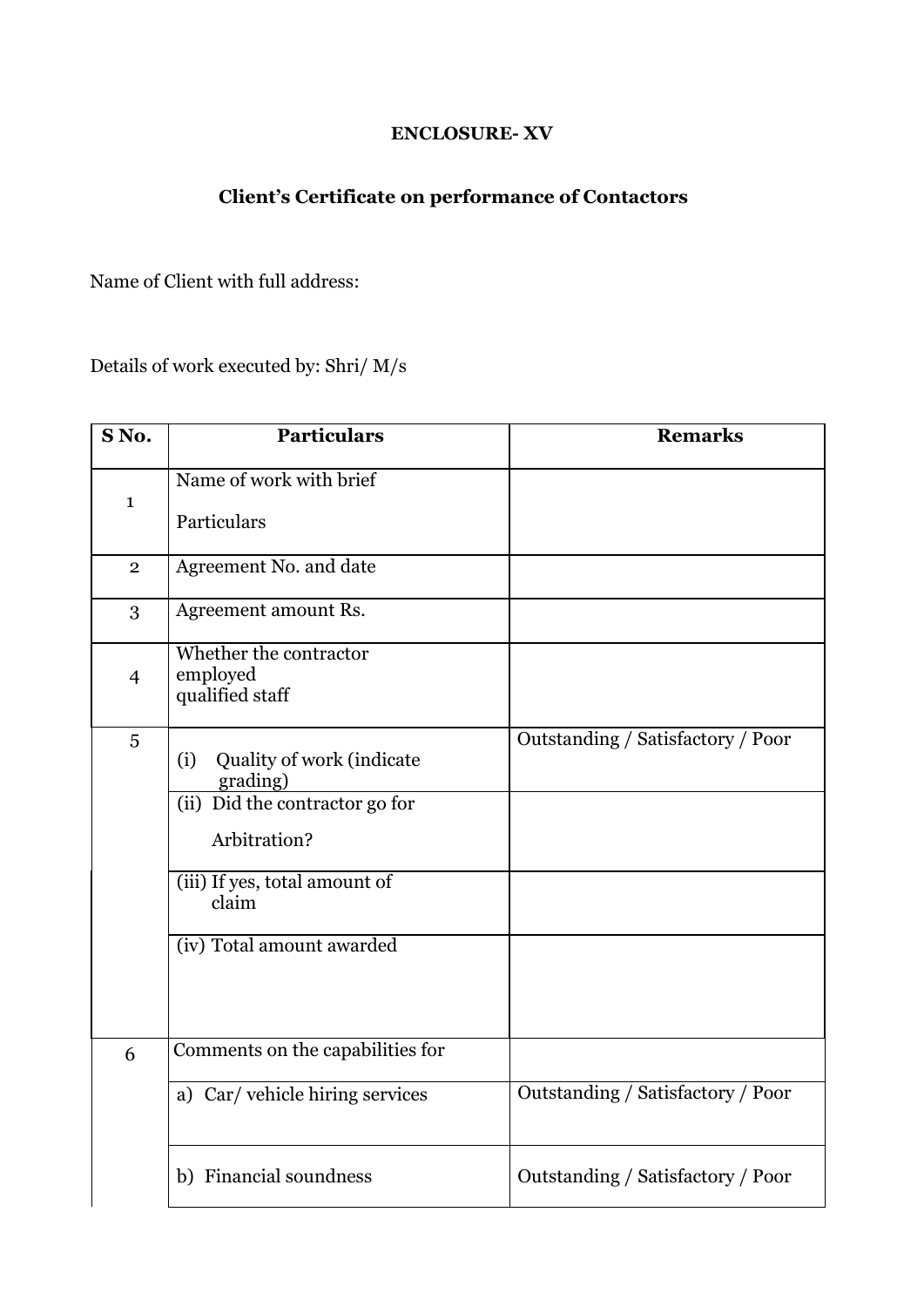# **ENCLOSURE- XV**

# **Client's Certificate on performance of Contactors**

Name of Client with full address:

Details of work executed by: Shri/ M/s

| SNo.           | <b>Particulars</b>                                    | <b>Remarks</b>                    |
|----------------|-------------------------------------------------------|-----------------------------------|
| $\mathbf{1}$   | Name of work with brief                               |                                   |
|                | Particulars                                           |                                   |
| $\overline{2}$ | Agreement No. and date                                |                                   |
| 3              | Agreement amount Rs.                                  |                                   |
| $\overline{4}$ | Whether the contractor<br>employed<br>qualified staff |                                   |
| 5              | Quality of work (indicate<br>(i)<br>grading)          | Outstanding / Satisfactory / Poor |
|                | (ii) Did the contractor go for                        |                                   |
|                | Arbitration?                                          |                                   |
|                | (iii) If yes, total amount of<br>claim                |                                   |
|                | (iv) Total amount awarded                             |                                   |
| 6              | Comments on the capabilities for                      |                                   |
|                | a) Car/vehicle hiring services                        | Outstanding / Satisfactory / Poor |
|                | b) Financial soundness                                | Outstanding / Satisfactory / Poor |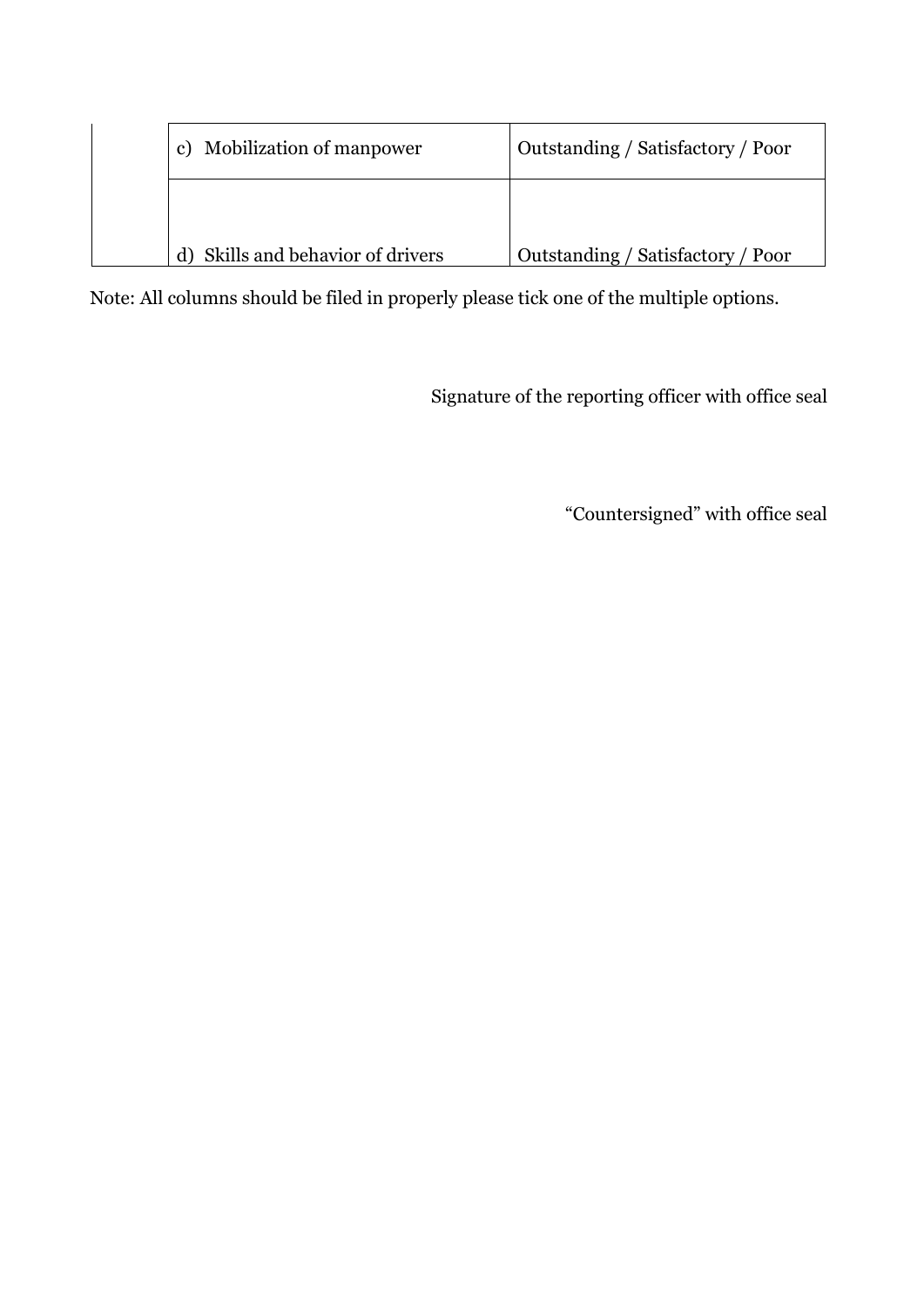| c) Mobilization of manpower    | Outstanding / Satisfactory / Poor |
|--------------------------------|-----------------------------------|
|                                |                                   |
| Skills and behavior of drivers | Outstanding / Satisfactory / Poor |

Note: All columns should be filed in properly please tick one of the multiple options.

Signature of the reporting officer with office seal

"Countersigned" with office seal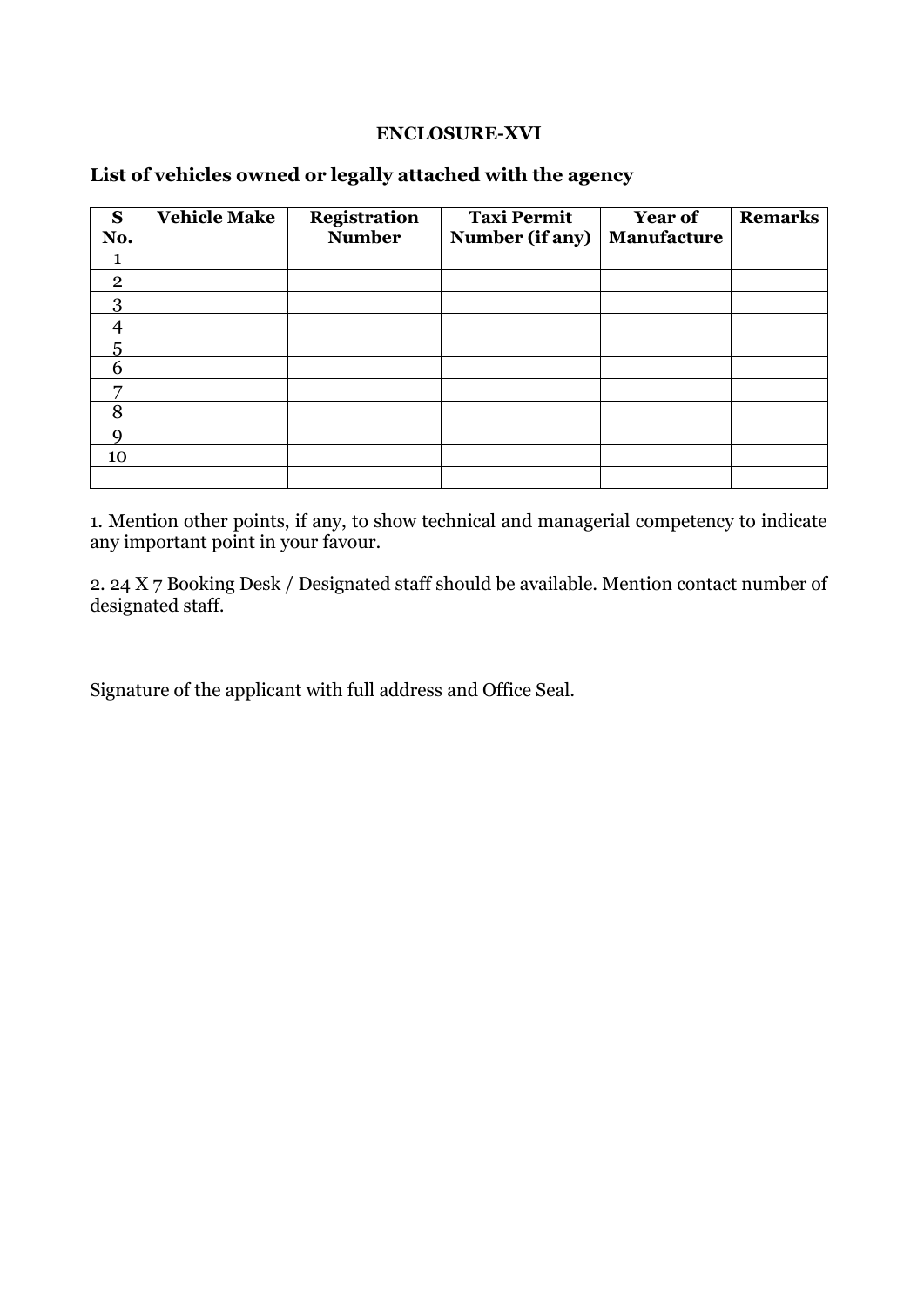#### **ENCLOSURE-XVI**

### **List of vehicles owned or legally attached with the agency**

| S<br>No.       | <b>Vehicle Make</b> | <b>Registration</b><br><b>Number</b> | <b>Taxi Permit</b><br>Number (if any) | <b>Year of</b><br>Manufacture | <b>Remarks</b> |
|----------------|---------------------|--------------------------------------|---------------------------------------|-------------------------------|----------------|
|                |                     |                                      |                                       |                               |                |
| $\overline{2}$ |                     |                                      |                                       |                               |                |
| 3              |                     |                                      |                                       |                               |                |
| Δ              |                     |                                      |                                       |                               |                |
| 5              |                     |                                      |                                       |                               |                |
| 6              |                     |                                      |                                       |                               |                |
| $\overline{ }$ |                     |                                      |                                       |                               |                |
| 8              |                     |                                      |                                       |                               |                |
| $\mathbf Q$    |                     |                                      |                                       |                               |                |
| 10             |                     |                                      |                                       |                               |                |
|                |                     |                                      |                                       |                               |                |

1. Mention other points, if any, to show technical and managerial competency to indicate any important point in your favour.

2. 24 X 7 Booking Desk / Designated staff should be available. Mention contact number of designated staff.

Signature of the applicant with full address and Office Seal.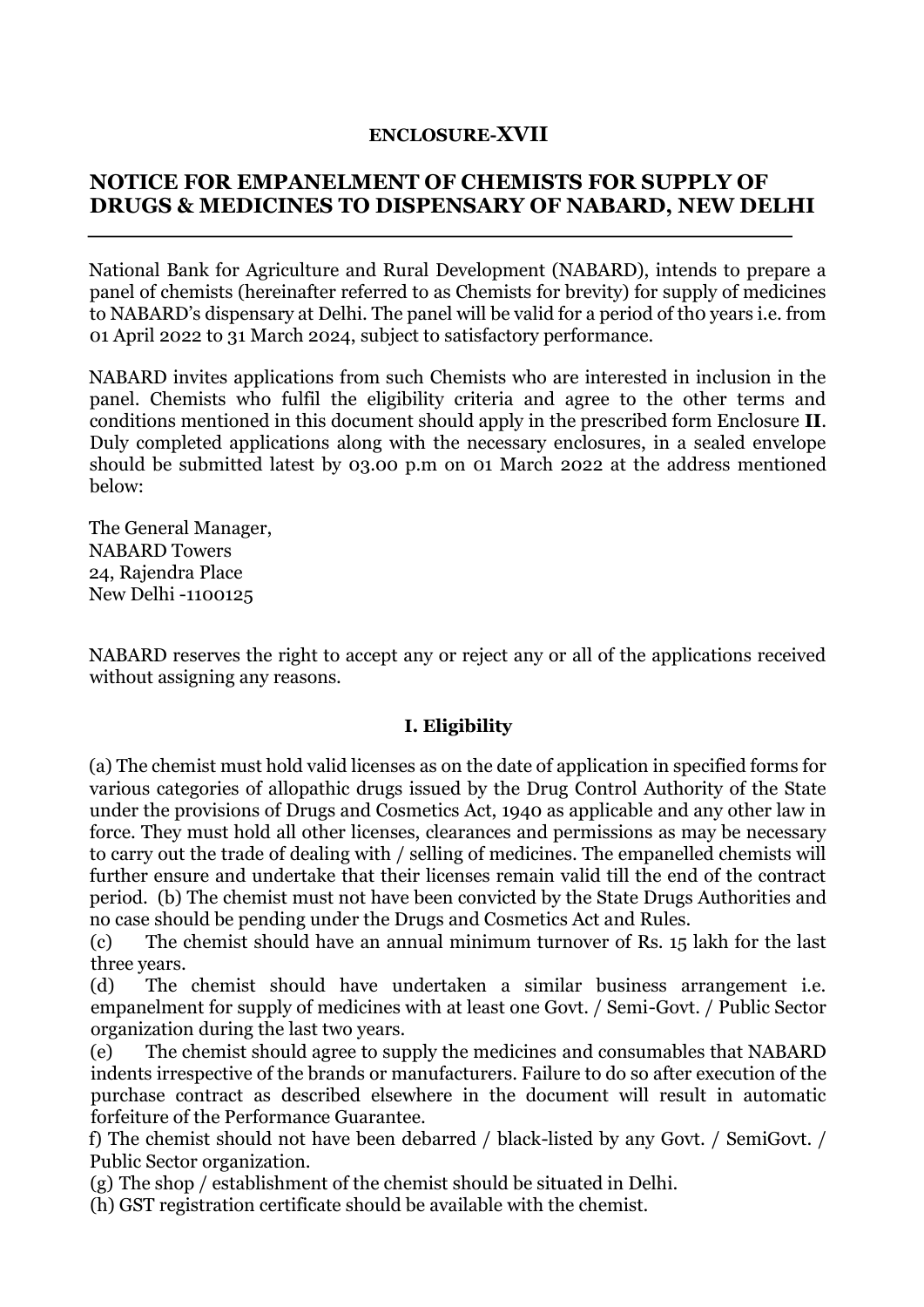### **ENCLOSURE-XVII**

# **NOTICE FOR EMPANELMENT OF CHEMISTS FOR SUPPLY OF DRUGS & MEDICINES TO DISPENSARY OF NABARD, NEW DELHI**

National Bank for Agriculture and Rural Development (NABARD), intends to prepare a panel of chemists (hereinafter referred to as Chemists for brevity) for supply of medicines to NABARD's dispensary at Delhi. The panel will be valid for a period of tho years i.e. from 01 April 2022 to 31 March 2024, subject to satisfactory performance.

NABARD invites applications from such Chemists who are interested in inclusion in the panel. Chemists who fulfil the eligibility criteria and agree to the other terms and conditions mentioned in this document should apply in the prescribed form Enclosure **II**. Duly completed applications along with the necessary enclosures, in a sealed envelope should be submitted latest by 03.00 p.m on 01 March 2022 at the address mentioned below:

The General Manager, NABARD Towers 24, Rajendra Place New Delhi -1100125

NABARD reserves the right to accept any or reject any or all of the applications received without assigning any reasons.

#### **I. Eligibility**

(a) The chemist must hold valid licenses as on the date of application in specified forms for various categories of allopathic drugs issued by the Drug Control Authority of the State under the provisions of Drugs and Cosmetics Act, 1940 as applicable and any other law in force. They must hold all other licenses, clearances and permissions as may be necessary to carry out the trade of dealing with / selling of medicines. The empanelled chemists will further ensure and undertake that their licenses remain valid till the end of the contract period. (b) The chemist must not have been convicted by the State Drugs Authorities and no case should be pending under the Drugs and Cosmetics Act and Rules.

(c) The chemist should have an annual minimum turnover of Rs. 15 lakh for the last three years.

(d) The chemist should have undertaken a similar business arrangement i.e. empanelment for supply of medicines with at least one Govt. / Semi-Govt. / Public Sector organization during the last two years.

(e) The chemist should agree to supply the medicines and consumables that NABARD indents irrespective of the brands or manufacturers. Failure to do so after execution of the purchase contract as described elsewhere in the document will result in automatic forfeiture of the Performance Guarantee.

f) The chemist should not have been debarred / black-listed by any Govt. / SemiGovt. / Public Sector organization.

(g) The shop / establishment of the chemist should be situated in Delhi.

(h) GST registration certificate should be available with the chemist.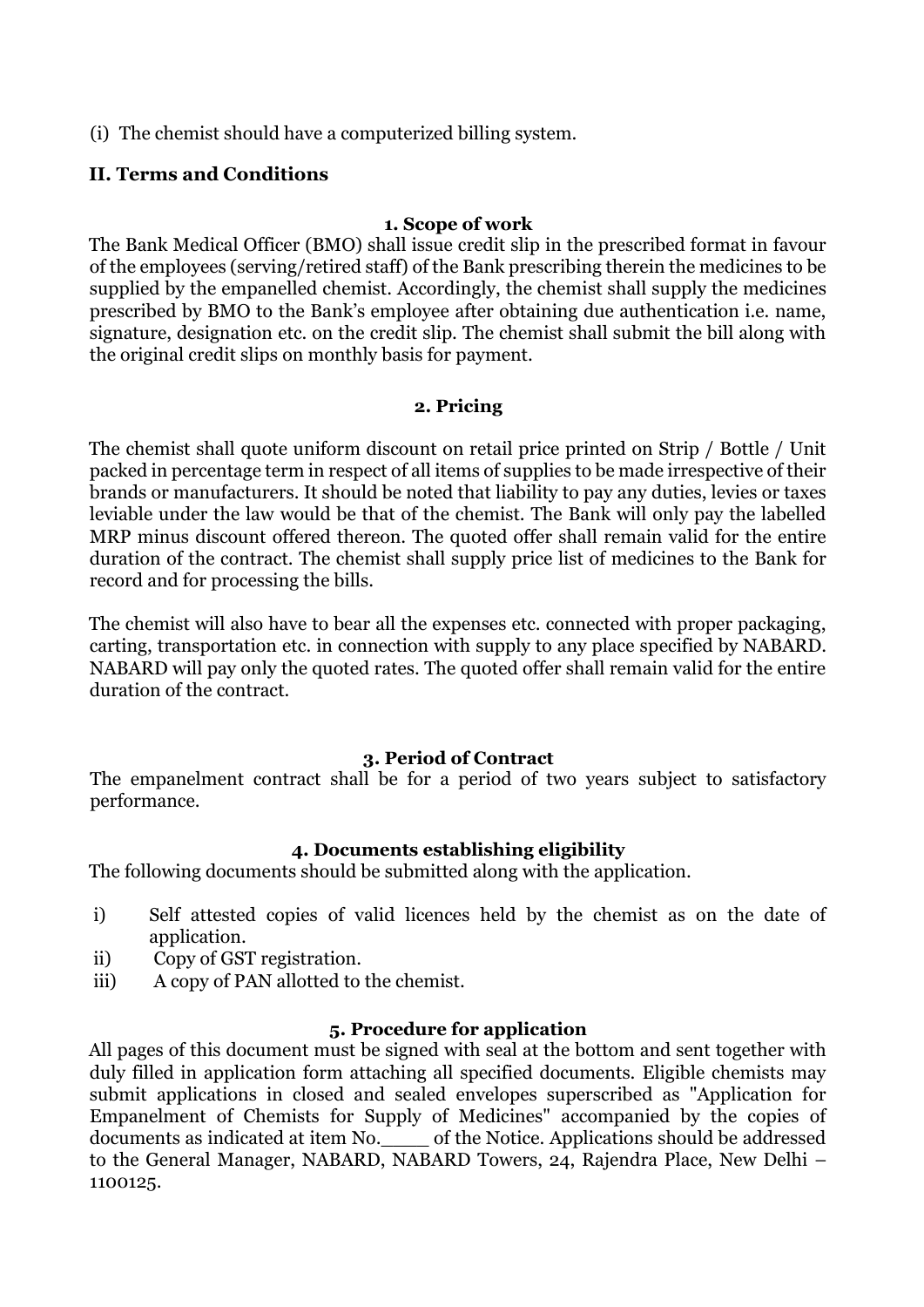(i) The chemist should have a computerized billing system.

### **II. Terms and Conditions**

#### **1. Scope of work**

The Bank Medical Officer (BMO) shall issue credit slip in the prescribed format in favour of the employees (serving/retired staff) of the Bank prescribing therein the medicines to be supplied by the empanelled chemist. Accordingly, the chemist shall supply the medicines prescribed by BMO to the Bank's employee after obtaining due authentication i.e. name, signature, designation etc. on the credit slip. The chemist shall submit the bill along with the original credit slips on monthly basis for payment.

#### **2. Pricing**

The chemist shall quote uniform discount on retail price printed on Strip / Bottle / Unit packed in percentage term in respect of all items of supplies to be made irrespective of their brands or manufacturers. It should be noted that liability to pay any duties, levies or taxes leviable under the law would be that of the chemist. The Bank will only pay the labelled MRP minus discount offered thereon. The quoted offer shall remain valid for the entire duration of the contract. The chemist shall supply price list of medicines to the Bank for record and for processing the bills.

The chemist will also have to bear all the expenses etc. connected with proper packaging, carting, transportation etc. in connection with supply to any place specified by NABARD. NABARD will pay only the quoted rates. The quoted offer shall remain valid for the entire duration of the contract.

#### **3. Period of Contract**

The empanelment contract shall be for a period of two years subject to satisfactory performance.

#### **4. Documents establishing eligibility**

The following documents should be submitted along with the application.

- i) Self attested copies of valid licences held by the chemist as on the date of application.
- ii) Copy of GST registration.
- iii) A copy of PAN allotted to the chemist.

### **5. Procedure for application**

All pages of this document must be signed with seal at the bottom and sent together with duly filled in application form attaching all specified documents. Eligible chemists may submit applications in closed and sealed envelopes superscribed as "Application for Empanelment of Chemists for Supply of Medicines" accompanied by the copies of documents as indicated at item No.\_\_\_\_ of the Notice. Applications should be addressed to the General Manager, NABARD, NABARD Towers, 24, Rajendra Place, New Delhi – 1100125.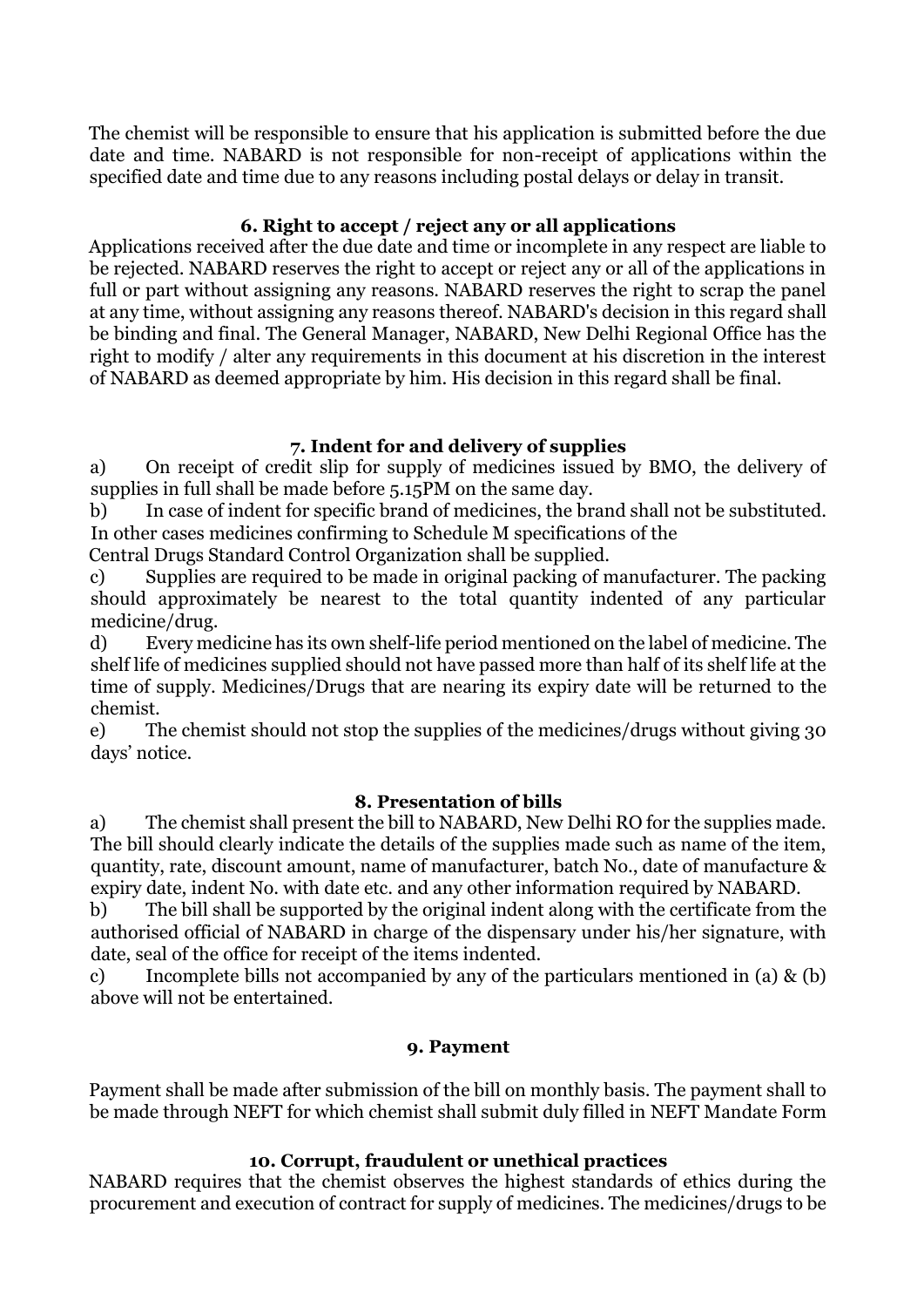The chemist will be responsible to ensure that his application is submitted before the due date and time. NABARD is not responsible for non-receipt of applications within the specified date and time due to any reasons including postal delays or delay in transit.

### **6. Right to accept / reject any or all applications**

Applications received after the due date and time or incomplete in any respect are liable to be rejected. NABARD reserves the right to accept or reject any or all of the applications in full or part without assigning any reasons. NABARD reserves the right to scrap the panel at any time, without assigning any reasons thereof. NABARD's decision in this regard shall be binding and final. The General Manager, NABARD, New Delhi Regional Office has the right to modify / alter any requirements in this document at his discretion in the interest of NABARD as deemed appropriate by him. His decision in this regard shall be final.

### **7. Indent for and delivery of supplies**

a) On receipt of credit slip for supply of medicines issued by BMO, the delivery of supplies in full shall be made before 5.15PM on the same day.

b) In case of indent for specific brand of medicines, the brand shall not be substituted. In other cases medicines confirming to Schedule M specifications of the

Central Drugs Standard Control Organization shall be supplied.

c) Supplies are required to be made in original packing of manufacturer. The packing should approximately be nearest to the total quantity indented of any particular medicine/drug.

d) Every medicine has its own shelf-life period mentioned on the label of medicine. The shelf life of medicines supplied should not have passed more than half of its shelf life at the time of supply. Medicines/Drugs that are nearing its expiry date will be returned to the chemist.

e) The chemist should not stop the supplies of the medicines/drugs without giving 30 days' notice.

#### **8. Presentation of bills**

a) The chemist shall present the bill to NABARD, New Delhi RO for the supplies made. The bill should clearly indicate the details of the supplies made such as name of the item, quantity, rate, discount amount, name of manufacturer, batch No., date of manufacture & expiry date, indent No. with date etc. and any other information required by NABARD.

b) The bill shall be supported by the original indent along with the certificate from the authorised official of NABARD in charge of the dispensary under his/her signature, with date, seal of the office for receipt of the items indented.

c) Incomplete bills not accompanied by any of the particulars mentioned in (a) & (b) above will not be entertained.

#### **9. Payment**

Payment shall be made after submission of the bill on monthly basis. The payment shall to be made through NEFT for which chemist shall submit duly filled in NEFT Mandate Form

#### **10. Corrupt, fraudulent or unethical practices**

NABARD requires that the chemist observes the highest standards of ethics during the procurement and execution of contract for supply of medicines. The medicines/drugs to be